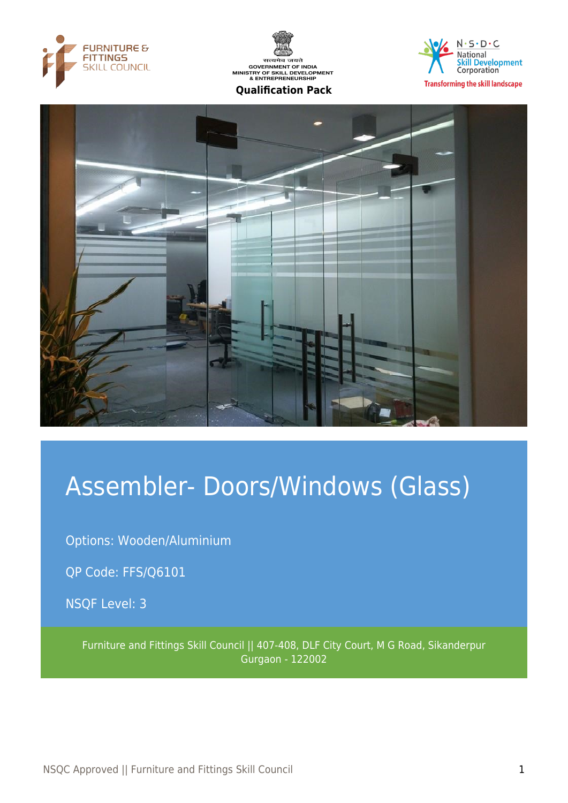





**Transforming the skill landscape** 



# Assembler- Doors/Windows (Glass)

Options: Wooden/Aluminium

QP Code: FFS/Q6101

NSQF Level: 3

Furniture and Fittings Skill Council || 407-408, DLF City Court, M G Road, Sikanderpur Gurgaon - 122002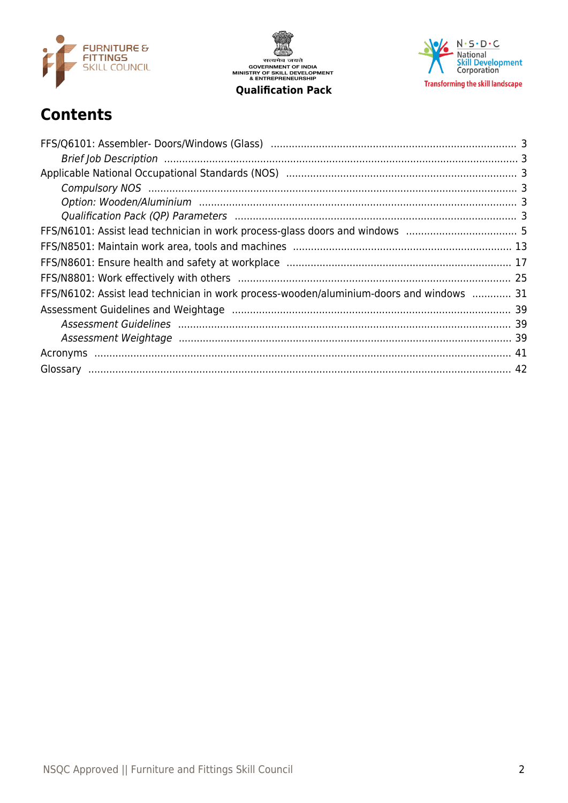

सत्यमेव जयते<br>GOVERNMENT OF INDIA<br>MINISTRY OF SKILL DEVELOPMENT<br>& ENTREPRENEURSHIP **Qualification Pack** 

 $N \cdot S \cdot D \cdot C$ National<br>Skill Development<br>Corporation **Transforming the skill landscape** 

# **Contents**

| FFS/N6102: Assist lead technician in work process-wooden/aluminium-doors and windows  31 |  |
|------------------------------------------------------------------------------------------|--|
|                                                                                          |  |
|                                                                                          |  |
|                                                                                          |  |
|                                                                                          |  |
|                                                                                          |  |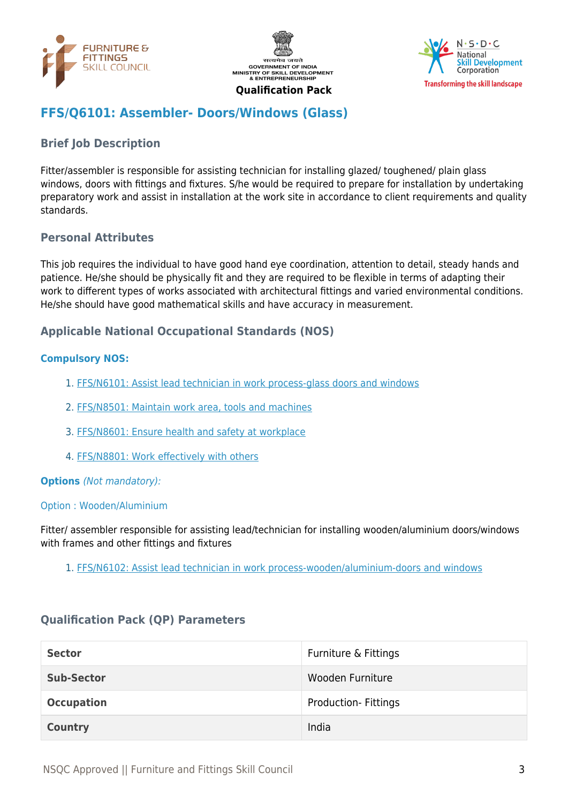





# <span id="page-2-0"></span>**FFS/Q6101: Assembler- Doors/Windows (Glass)**

# <span id="page-2-1"></span>**Brief Job Description**

Fitter/assembler is responsible for assisting technician for installing glazed/ toughened/ plain glass windows, doors with fittings and fixtures. S/he would be required to prepare for installation by undertaking preparatory work and assist in installation at the work site in accordance to client requirements and quality standards.

#### **Personal Attributes**

This job requires the individual to have good hand eye coordination, attention to detail, steady hands and patience. He/she should be physically fit and they are required to be flexible in terms of adapting their work to different types of works associated with architectural fittings and varied environmental conditions. He/she should have good mathematical skills and have accuracy in measurement.

#### <span id="page-2-2"></span>**Applicable National Occupational Standards (NOS)**

#### <span id="page-2-3"></span>**Compulsory NOS:**

- 1. [FFS/N6101: Assist lead technician in work process-glass doors and windows](#page-4-0)
- 2. [FFS/N8501: Maintain work area, tools and machines](#page-12-0)
- 3. [FFS/N8601: Ensure health and safety at workplace](#page-16-0)
- 4. [FFS/N8801: Work effectively with others](#page-24-0)

#### <span id="page-2-4"></span>**Options** (Not mandatory):

#### Option : Wooden/Aluminium

Fitter/ assembler responsible for assisting lead/technician for installing wooden/aluminium doors/windows with frames and other fittings and fixtures

1. [FFS/N6102: Assist lead technician in work process-wooden/aluminium-doors and windows](#page-30-0)

#### <span id="page-2-5"></span>**Qualification Pack (QP) Parameters**

| <b>Sector</b>     | Furniture & Fittings       |
|-------------------|----------------------------|
| <b>Sub-Sector</b> | Wooden Furniture           |
| <b>Occupation</b> | <b>Production-Fittings</b> |
| <b>Country</b>    | India                      |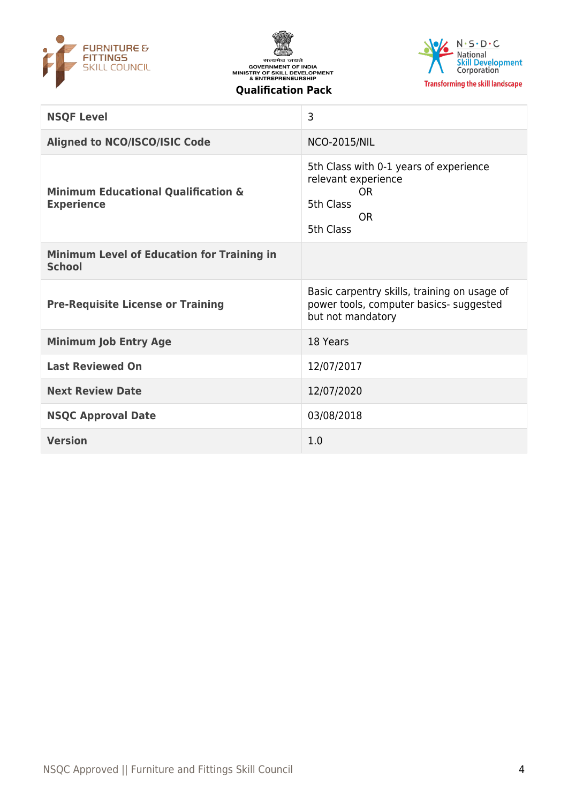





| <b>NSQF Level</b>                                                   | 3                                                                                                                 |
|---------------------------------------------------------------------|-------------------------------------------------------------------------------------------------------------------|
| <b>Aligned to NCO/ISCO/ISIC Code</b>                                | <b>NCO-2015/NIL</b>                                                                                               |
| <b>Minimum Educational Qualification &amp;</b><br><b>Experience</b> | 5th Class with 0-1 years of experience<br>relevant experience<br><b>OR</b><br>5th Class<br><b>OR</b><br>5th Class |
| <b>Minimum Level of Education for Training in</b><br><b>School</b>  |                                                                                                                   |
|                                                                     |                                                                                                                   |
| <b>Pre-Requisite License or Training</b>                            | Basic carpentry skills, training on usage of<br>power tools, computer basics- suggested<br>but not mandatory      |
| <b>Minimum Job Entry Age</b>                                        | 18 Years                                                                                                          |
| <b>Last Reviewed On</b>                                             | 12/07/2017                                                                                                        |
| <b>Next Review Date</b>                                             | 12/07/2020                                                                                                        |
| <b>NSQC Approval Date</b>                                           | 03/08/2018                                                                                                        |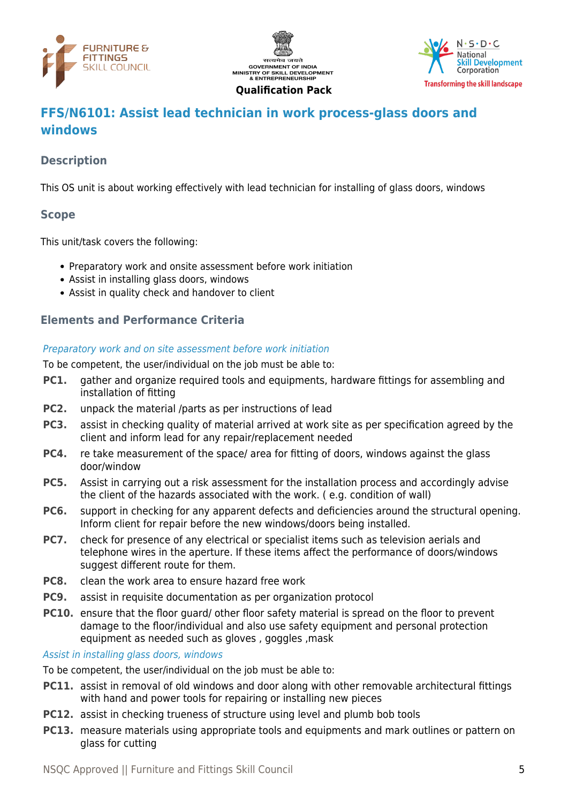





# <span id="page-4-0"></span>**FFS/N6101: Assist lead technician in work process-glass doors and windows**

# **Description**

This OS unit is about working effectively with lead technician for installing of glass doors, windows

#### **Scope**

This unit/task covers the following:

- Preparatory work and onsite assessment before work initiation
- Assist in installing glass doors, windows
- Assist in quality check and handover to client

#### **Elements and Performance Criteria**

Preparatory work and on site assessment before work initiation

To be competent, the user/individual on the job must be able to:

- **PC1.** gather and organize required tools and equipments, hardware fittings for assembling and installation of fitting
- **PC2.** unpack the material /parts as per instructions of lead
- **PC3.** assist in checking quality of material arrived at work site as per specification agreed by the client and inform lead for any repair/replacement needed
- **PC4.** re take measurement of the space/ area for fitting of doors, windows against the glass door/window
- **PC5.** Assist in carrying out a risk assessment for the installation process and accordingly advise the client of the hazards associated with the work. ( e.g. condition of wall)
- **PC6.** support in checking for any apparent defects and deficiencies around the structural opening. Inform client for repair before the new windows/doors being installed.
- **PC7.** check for presence of any electrical or specialist items such as television aerials and telephone wires in the aperture. If these items affect the performance of doors/windows suggest different route for them.
- **PC8.** clean the work area to ensure hazard free work
- **PC9.** assist in requisite documentation as per organization protocol
- **PC10.** ensure that the floor quard/ other floor safety material is spread on the floor to prevent damage to the floor/individual and also use safety equipment and personal protection equipment as needed such as gloves , goggles ,mask

Assist in installing glass doors, windows

To be competent, the user/individual on the job must be able to:

- **PC11.** assist in removal of old windows and door along with other removable architectural fittings with hand and power tools for repairing or installing new pieces
- **PC12.** assist in checking trueness of structure using level and plumb bob tools
- **PC13.** measure materials using appropriate tools and equipments and mark outlines or pattern on glass for cutting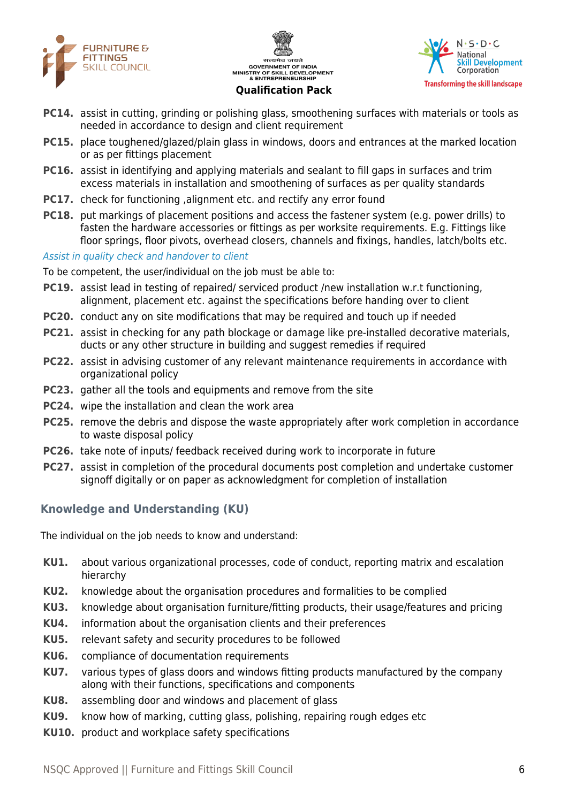





- **PC14.** assist in cutting, grinding or polishing glass, smoothening surfaces with materials or tools as needed in accordance to design and client requirement
- **PC15.** place toughened/glazed/plain glass in windows, doors and entrances at the marked location or as per fittings placement
- **PC16.** assist in identifying and applying materials and sealant to fill gaps in surfaces and trim excess materials in installation and smoothening of surfaces as per quality standards
- **PC17.** check for functioning , alignment etc. and rectify any error found
- **PC18.** put markings of placement positions and access the fastener system (e.g. power drills) to fasten the hardware accessories or fittings as per worksite requirements. E.g. Fittings like floor springs, floor pivots, overhead closers, channels and fixings, handles, latch/bolts etc.

#### Assist in quality check and handover to client

To be competent, the user/individual on the job must be able to:

- **PC19.** assist lead in testing of repaired/ serviced product /new installation w.r.t functioning, alignment, placement etc. against the specifications before handing over to client
- **PC20.** conduct any on site modifications that may be required and touch up if needed
- **PC21.** assist in checking for any path blockage or damage like pre-installed decorative materials, ducts or any other structure in building and suggest remedies if required
- **PC22.** assist in advising customer of any relevant maintenance requirements in accordance with organizational policy
- **PC23.** gather all the tools and equipments and remove from the site
- **PC24.** wipe the installation and clean the work area
- **PC25.** remove the debris and dispose the waste appropriately after work completion in accordance to waste disposal policy
- **PC26.** take note of inputs/ feedback received during work to incorporate in future
- **PC27.** assist in completion of the procedural documents post completion and undertake customer signoff digitally or on paper as acknowledgment for completion of installation

#### **Knowledge and Understanding (KU)**

The individual on the job needs to know and understand:

- **KU1.** about various organizational processes, code of conduct, reporting matrix and escalation hierarchy
- **KU2.** knowledge about the organisation procedures and formalities to be complied
- **KU3.** knowledge about organisation furniture/fitting products, their usage/features and pricing
- **KU4.** information about the organisation clients and their preferences
- **KU5.** relevant safety and security procedures to be followed
- **KU6.** compliance of documentation requirements
- **KU7.** various types of glass doors and windows fitting products manufactured by the company along with their functions, specifications and components
- **KU8.** assembling door and windows and placement of glass
- **KU9.** know how of marking, cutting glass, polishing, repairing rough edges etc
- **KU10.** product and workplace safety specifications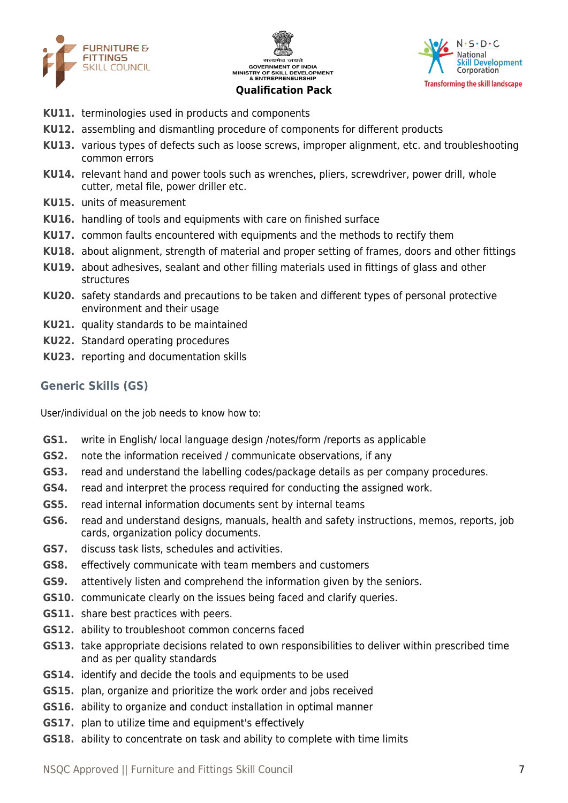





- **KU11.** terminologies used in products and components
- **KU12.** assembling and dismantling procedure of components for different products
- **KU13.** various types of defects such as loose screws, improper alignment, etc. and troubleshooting common errors
- **KU14.** relevant hand and power tools such as wrenches, pliers, screwdriver, power drill, whole cutter, metal file, power driller etc.
- **KU15.** units of measurement
- **KU16.** handling of tools and equipments with care on finished surface
- **KU17.** common faults encountered with equipments and the methods to rectify them
- **KU18.** about alignment, strength of material and proper setting of frames, doors and other fittings
- **KU19.** about adhesives, sealant and other filling materials used in fittings of glass and other structures
- **KU20.** safety standards and precautions to be taken and different types of personal protective environment and their usage
- **KU21.** quality standards to be maintained
- **KU22.** Standard operating procedures
- **KU23.** reporting and documentation skills

#### **Generic Skills (GS)**

User/individual on the job needs to know how to:

- **GS1.** write in English/ local language design /notes/form /reports as applicable
- **GS2.** note the information received / communicate observations, if any
- **GS3.** read and understand the labelling codes/package details as per company procedures.
- **GS4.** read and interpret the process required for conducting the assigned work.
- **GS5.** read internal information documents sent by internal teams
- **GS6.** read and understand designs, manuals, health and safety instructions, memos, reports, job cards, organization policy documents.
- **GS7.** discuss task lists, schedules and activities.
- **GS8.** effectively communicate with team members and customers
- **GS9.** attentively listen and comprehend the information given by the seniors.
- **GS10.** communicate clearly on the issues being faced and clarify queries.
- **GS11.** share best practices with peers.
- **GS12.** ability to troubleshoot common concerns faced
- **GS13.** take appropriate decisions related to own responsibilities to deliver within prescribed time and as per quality standards
- **GS14.** identify and decide the tools and equipments to be used
- **GS15.** plan, organize and prioritize the work order and jobs received
- **GS16.** ability to organize and conduct installation in optimal manner
- **GS17.** plan to utilize time and equipment's effectively
- **GS18.** ability to concentrate on task and ability to complete with time limits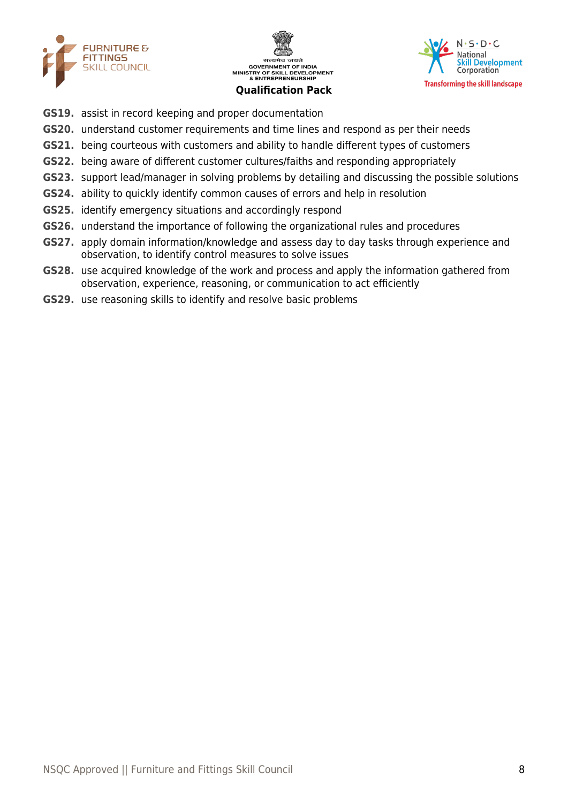





- **GS19.** assist in record keeping and proper documentation
- **GS20.** understand customer requirements and time lines and respond as per their needs
- **GS21.** being courteous with customers and ability to handle different types of customers
- **GS22.** being aware of different customer cultures/faiths and responding appropriately
- **GS23.** support lead/manager in solving problems by detailing and discussing the possible solutions
- **GS24.** ability to quickly identify common causes of errors and help in resolution
- **GS25.** identify emergency situations and accordingly respond
- **GS26.** understand the importance of following the organizational rules and procedures
- **GS27.** apply domain information/knowledge and assess day to day tasks through experience and observation, to identify control measures to solve issues
- **GS28.** use acquired knowledge of the work and process and apply the information gathered from observation, experience, reasoning, or communication to act efficiently
- **GS29.** use reasoning skills to identify and resolve basic problems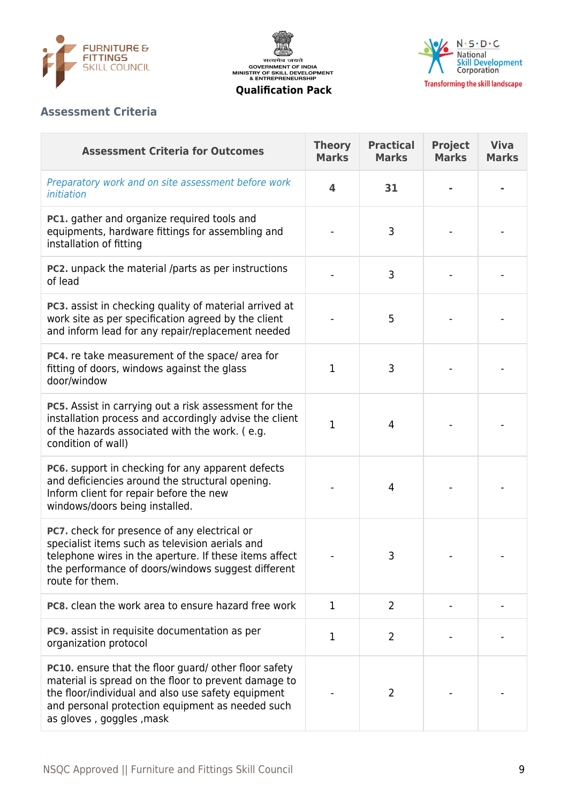





# **Assessment Criteria**

| <b>Assessment Criteria for Outcomes</b>                                                                                                                                                                                                             | <b>Theory</b><br><b>Marks</b> | <b>Practical</b><br><b>Marks</b> | <b>Project</b><br><b>Marks</b> | <b>Viva</b><br><b>Marks</b> |
|-----------------------------------------------------------------------------------------------------------------------------------------------------------------------------------------------------------------------------------------------------|-------------------------------|----------------------------------|--------------------------------|-----------------------------|
| Preparatory work and on site assessment before work<br>initiation                                                                                                                                                                                   | 4                             | 31                               |                                |                             |
| PC1. gather and organize required tools and<br>equipments, hardware fittings for assembling and<br>installation of fitting                                                                                                                          |                               | 3                                |                                |                             |
| PC2. unpack the material /parts as per instructions<br>of lead                                                                                                                                                                                      |                               | 3                                |                                |                             |
| PC3. assist in checking quality of material arrived at<br>work site as per specification agreed by the client<br>and inform lead for any repair/replacement needed                                                                                  |                               | 5                                |                                |                             |
| PC4. re take measurement of the space/area for<br>fitting of doors, windows against the glass<br>door/window                                                                                                                                        | $\mathbf{1}$                  | 3                                |                                |                             |
| PC5. Assist in carrying out a risk assessment for the<br>installation process and accordingly advise the client<br>of the hazards associated with the work. (e.g.<br>condition of wall)                                                             | $\mathbf{1}$                  | 4                                |                                |                             |
| PC6. support in checking for any apparent defects<br>and deficiencies around the structural opening.<br>Inform client for repair before the new<br>windows/doors being installed.                                                                   |                               | 4                                |                                |                             |
| PC7. check for presence of any electrical or<br>specialist items such as television aerials and<br>telephone wires in the aperture. If these items affect<br>the performance of doors/windows suggest different<br>route for them.                  |                               | 3                                |                                |                             |
| <b>PC8.</b> clean the work area to ensure hazard free work                                                                                                                                                                                          | 1                             | $\overline{2}$                   |                                |                             |
| <b>PC9.</b> assist in requisite documentation as per<br>organization protocol                                                                                                                                                                       | $\mathbf{1}$                  | $\overline{2}$                   |                                |                             |
| PC10. ensure that the floor guard/ other floor safety<br>material is spread on the floor to prevent damage to<br>the floor/individual and also use safety equipment<br>and personal protection equipment as needed such<br>as gloves, goggles, mask |                               | $\overline{2}$                   |                                |                             |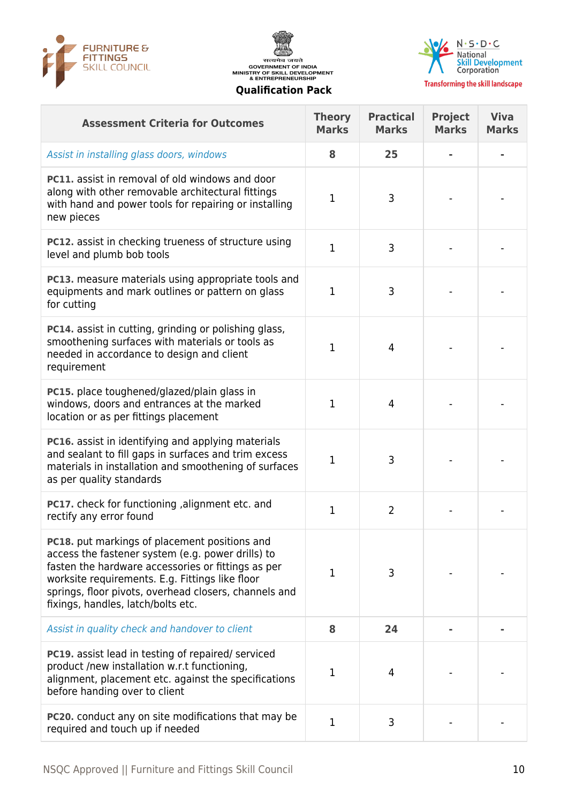





**Transforming the skill landscape** 

| <b>Assessment Criteria for Outcomes</b>                                                                                                                                                                                                                                                                           | <b>Theory</b><br><b>Marks</b> | <b>Practical</b><br><b>Marks</b> | <b>Project</b><br><b>Marks</b> | <b>Viva</b><br><b>Marks</b> |
|-------------------------------------------------------------------------------------------------------------------------------------------------------------------------------------------------------------------------------------------------------------------------------------------------------------------|-------------------------------|----------------------------------|--------------------------------|-----------------------------|
| Assist in installing glass doors, windows                                                                                                                                                                                                                                                                         | 8                             | 25                               |                                |                             |
| <b>PC11.</b> assist in removal of old windows and door<br>along with other removable architectural fittings<br>with hand and power tools for repairing or installing<br>new pieces                                                                                                                                | 1                             | 3                                |                                |                             |
| PC12. assist in checking trueness of structure using<br>level and plumb bob tools                                                                                                                                                                                                                                 | $\mathbf{1}$                  | 3                                |                                |                             |
| PC13. measure materials using appropriate tools and<br>equipments and mark outlines or pattern on glass<br>for cutting                                                                                                                                                                                            | $\mathbf{1}$                  | 3                                |                                |                             |
| PC14. assist in cutting, grinding or polishing glass,<br>smoothening surfaces with materials or tools as<br>needed in accordance to design and client<br>requirement                                                                                                                                              | 1                             | 4                                |                                |                             |
| PC15. place toughened/glazed/plain glass in<br>windows, doors and entrances at the marked<br>location or as per fittings placement                                                                                                                                                                                | $\mathbf{1}$                  | 4                                |                                |                             |
| <b>PC16.</b> assist in identifying and applying materials<br>and sealant to fill gaps in surfaces and trim excess<br>materials in installation and smoothening of surfaces<br>as per quality standards                                                                                                            | 1                             | 3                                |                                |                             |
| pC17. check for functioning , alignment etc. and<br>rectify any error found                                                                                                                                                                                                                                       | $\mathbf{1}$                  | $\overline{2}$                   |                                |                             |
| <b>PC18.</b> put markings of placement positions and<br>access the fastener system (e.g. power drills) to<br>fasten the hardware accessories or fittings as per<br>worksite requirements. E.g. Fittings like floor<br>springs, floor pivots, overhead closers, channels and<br>fixings, handles, latch/bolts etc. | 1                             | 3                                |                                |                             |
| Assist in quality check and handover to client                                                                                                                                                                                                                                                                    | 8                             | 24                               |                                |                             |
| <b>PC19.</b> assist lead in testing of repaired/ serviced<br>product /new installation w.r.t functioning,<br>alignment, placement etc. against the specifications<br>before handing over to client                                                                                                                | 1                             | 4                                |                                |                             |
| <b>PC20.</b> conduct any on site modifications that may be<br>required and touch up if needed                                                                                                                                                                                                                     | 1                             | 3                                |                                |                             |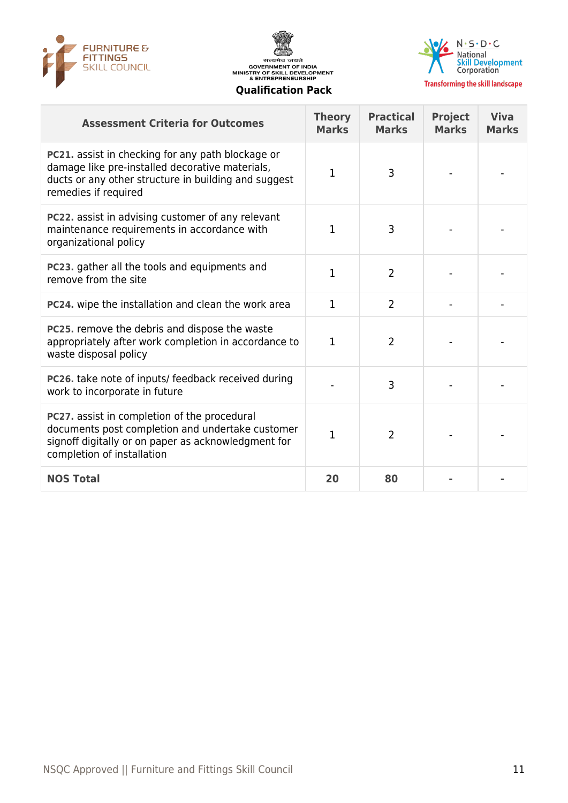





| <b>Transforming the skill land:</b> |  |  |  |
|-------------------------------------|--|--|--|
|                                     |  |  |  |

| <b>Assessment Criteria for Outcomes</b>                                                                                                                                               | <b>Theory</b><br><b>Marks</b> | <b>Practical</b><br><b>Marks</b> | <b>Project</b><br><b>Marks</b> | <b>Viva</b><br><b>Marks</b> |
|---------------------------------------------------------------------------------------------------------------------------------------------------------------------------------------|-------------------------------|----------------------------------|--------------------------------|-----------------------------|
| PC21. assist in checking for any path blockage or<br>damage like pre-installed decorative materials,<br>ducts or any other structure in building and suggest<br>remedies if required  | 1                             | 3                                |                                |                             |
| PC22. assist in advising customer of any relevant<br>maintenance requirements in accordance with<br>organizational policy                                                             | 1                             | 3                                |                                |                             |
| PC23. gather all the tools and equipments and<br>remove from the site                                                                                                                 | 1                             | $\overline{2}$                   |                                |                             |
| PC24. wipe the installation and clean the work area                                                                                                                                   | $\mathbf{1}$                  | $\overline{2}$                   |                                |                             |
| PC25. remove the debris and dispose the waste<br>appropriately after work completion in accordance to<br>waste disposal policy                                                        | 1                             | $\overline{2}$                   |                                |                             |
| PC26. take note of inputs/ feedback received during<br>work to incorporate in future                                                                                                  |                               | 3                                |                                |                             |
| PC27. assist in completion of the procedural<br>documents post completion and undertake customer<br>signoff digitally or on paper as acknowledgment for<br>completion of installation | $\mathbf{1}$                  | $\overline{2}$                   |                                |                             |
| <b>NOS Total</b>                                                                                                                                                                      | 20                            | 80                               |                                |                             |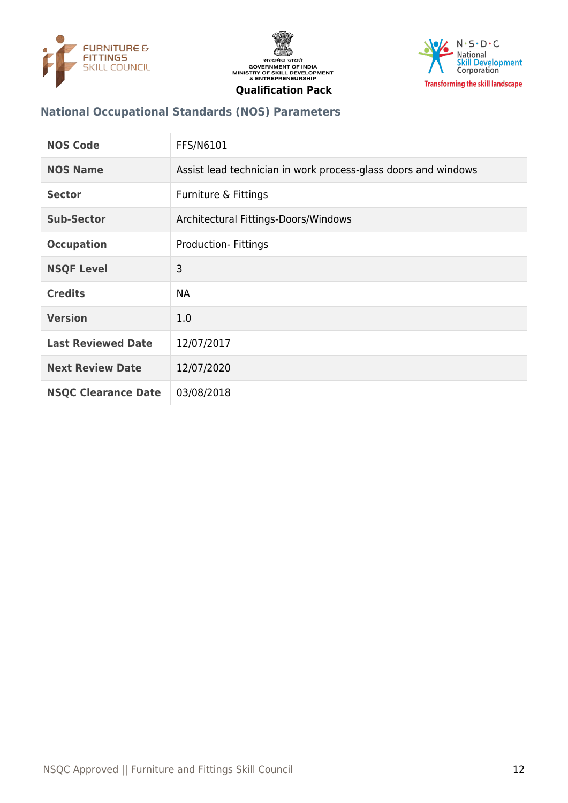





| <b>National Occupational Standards (NOS) Parameters</b> |  |  |
|---------------------------------------------------------|--|--|

| <b>NOS Code</b>            | <b>FFS/N6101</b>                                               |
|----------------------------|----------------------------------------------------------------|
| <b>NOS Name</b>            | Assist lead technician in work process-glass doors and windows |
| <b>Sector</b>              | Furniture & Fittings                                           |
| <b>Sub-Sector</b>          | Architectural Fittings-Doors/Windows                           |
| <b>Occupation</b>          | Production-Fittings                                            |
| <b>NSQF Level</b>          | 3                                                              |
| <b>Credits</b>             | <b>NA</b>                                                      |
| <b>Version</b>             | 1.0                                                            |
| <b>Last Reviewed Date</b>  | 12/07/2017                                                     |
| <b>Next Review Date</b>    | 12/07/2020                                                     |
| <b>NSQC Clearance Date</b> | 03/08/2018                                                     |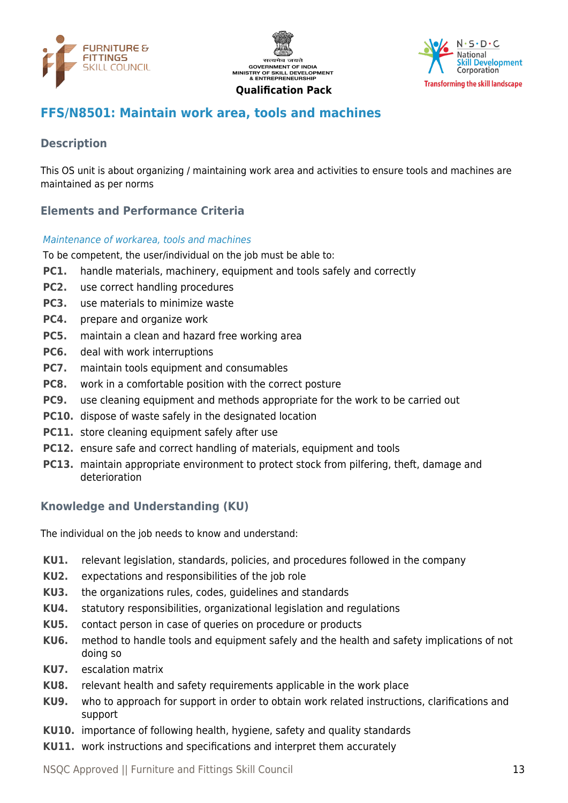





# <span id="page-12-0"></span>**FFS/N8501: Maintain work area, tools and machines**

# **Description**

This OS unit is about organizing / maintaining work area and activities to ensure tools and machines are maintained as per norms

# **Elements and Performance Criteria**

#### Maintenance of workarea, tools and machines

To be competent, the user/individual on the job must be able to:

- **PC1.** handle materials, machinery, equipment and tools safely and correctly
- **PC2.** use correct handling procedures
- **PC3.** use materials to minimize waste
- **PC4.** prepare and organize work
- **PC5.** maintain a clean and hazard free working area
- **PC6.** deal with work interruptions
- **PC7.** maintain tools equipment and consumables
- **PC8.** work in a comfortable position with the correct posture
- **PC9.** use cleaning equipment and methods appropriate for the work to be carried out
- **PC10.** dispose of waste safely in the designated location
- **PC11.** store cleaning equipment safely after use
- **PC12.** ensure safe and correct handling of materials, equipment and tools
- **PC13.** maintain appropriate environment to protect stock from pilfering, theft, damage and deterioration

# **Knowledge and Understanding (KU)**

The individual on the job needs to know and understand:

- **KU1.** relevant legislation, standards, policies, and procedures followed in the company
- **KU2.** expectations and responsibilities of the job role
- **KU3.** the organizations rules, codes, guidelines and standards
- **KU4.** statutory responsibilities, organizational legislation and regulations
- **KU5.** contact person in case of queries on procedure or products
- **KU6.** method to handle tools and equipment safely and the health and safety implications of not doing so
- **KU7.** escalation matrix
- **KU8.** relevant health and safety requirements applicable in the work place
- **KU9.** who to approach for support in order to obtain work related instructions, clarifications and support
- **KU10.** importance of following health, hygiene, safety and quality standards
- **KU11.** work instructions and specifications and interpret them accurately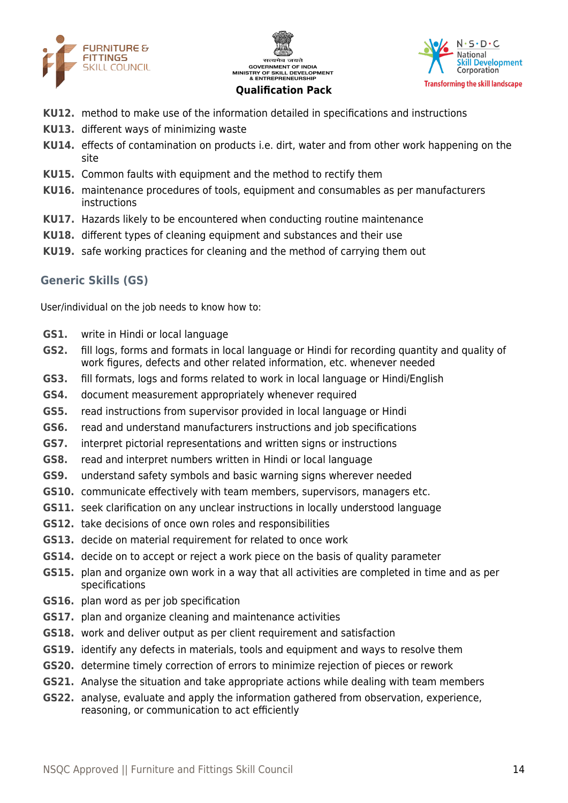





- **KU12.** method to make use of the information detailed in specifications and instructions
- **KU13.** different ways of minimizing waste
- **KU14.** effects of contamination on products i.e. dirt, water and from other work happening on the site
- **KU15.** Common faults with equipment and the method to rectify them
- **KU16.** maintenance procedures of tools, equipment and consumables as per manufacturers instructions
- **KU17.** Hazards likely to be encountered when conducting routine maintenance
- **KU18.** different types of cleaning equipment and substances and their use
- **KU19.** safe working practices for cleaning and the method of carrying them out

#### **Generic Skills (GS)**

User/individual on the job needs to know how to:

- **GS1.** write in Hindi or local language
- **GS2.** fill logs, forms and formats in local language or Hindi for recording quantity and quality of work figures, defects and other related information, etc. whenever needed
- **GS3.** fill formats, logs and forms related to work in local language or Hindi/English
- **GS4.** document measurement appropriately whenever required
- **GS5.** read instructions from supervisor provided in local language or Hindi
- **GS6.** read and understand manufacturers instructions and job specifications
- **GS7.** interpret pictorial representations and written signs or instructions
- **GS8.** read and interpret numbers written in Hindi or local language
- **GS9.** understand safety symbols and basic warning signs wherever needed
- **GS10.** communicate effectively with team members, supervisors, managers etc.
- **GS11.** seek clarification on any unclear instructions in locally understood language
- **GS12.** take decisions of once own roles and responsibilities
- **GS13.** decide on material requirement for related to once work
- **GS14.** decide on to accept or reject a work piece on the basis of quality parameter
- **GS15.** plan and organize own work in a way that all activities are completed in time and as per specifications
- **GS16.** plan word as per job specification
- **GS17.** plan and organize cleaning and maintenance activities
- **GS18.** work and deliver output as per client requirement and satisfaction
- **GS19.** identify any defects in materials, tools and equipment and ways to resolve them
- **GS20.** determine timely correction of errors to minimize rejection of pieces or rework
- **GS21.** Analyse the situation and take appropriate actions while dealing with team members
- **GS22.** analyse, evaluate and apply the information gathered from observation, experience, reasoning, or communication to act efficiently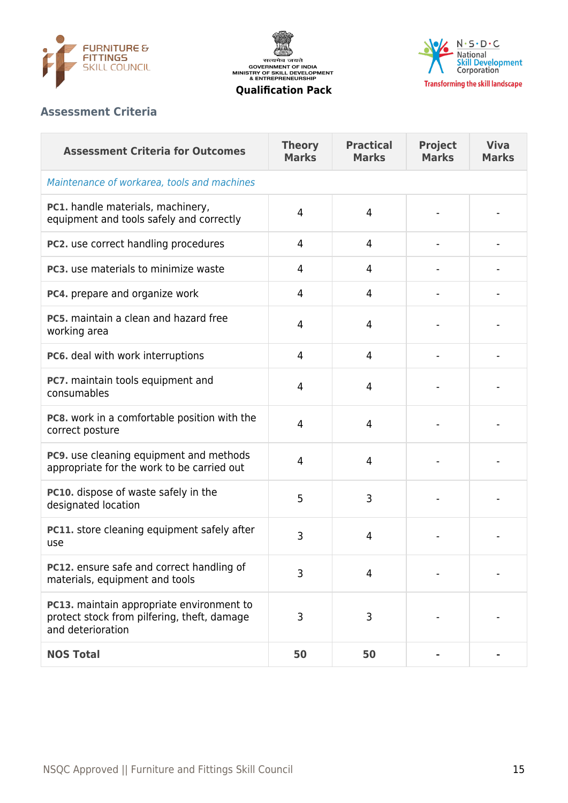





# **Assessment Criteria**

| <b>Assessment Criteria for Outcomes</b>                                                                              | <b>Theory</b><br><b>Marks</b> | <b>Practical</b><br><b>Marks</b> | <b>Project</b><br><b>Marks</b> | <b>Viva</b><br><b>Marks</b> |
|----------------------------------------------------------------------------------------------------------------------|-------------------------------|----------------------------------|--------------------------------|-----------------------------|
| Maintenance of workarea, tools and machines                                                                          |                               |                                  |                                |                             |
| PC1. handle materials, machinery,<br>equipment and tools safely and correctly                                        | 4                             | 4                                |                                |                             |
| PC2. use correct handling procedures                                                                                 | 4                             | 4                                |                                |                             |
| PC3. use materials to minimize waste                                                                                 | 4                             | 4                                |                                |                             |
| PC4. prepare and organize work                                                                                       | 4                             | 4                                |                                |                             |
| PC5, maintain a clean and hazard free<br>working area                                                                | 4                             | 4                                |                                |                             |
| PC6. deal with work interruptions                                                                                    | 4                             | 4                                |                                |                             |
| PC7. maintain tools equipment and<br>consumables                                                                     | 4                             | $\overline{4}$                   |                                |                             |
| PC8. work in a comfortable position with the<br>correct posture                                                      | 4                             | $\overline{4}$                   |                                |                             |
| PC9. use cleaning equipment and methods<br>appropriate for the work to be carried out                                | 4                             | $\overline{4}$                   |                                |                             |
| PC10. dispose of waste safely in the<br>designated location                                                          | 5                             | 3                                |                                |                             |
| PC11. store cleaning equipment safely after<br>use                                                                   | 3                             | 4                                |                                |                             |
| PC12. ensure safe and correct handling of<br>materials, equipment and tools                                          | 3                             | $\overline{4}$                   |                                |                             |
| <b>PC13.</b> maintain appropriate environment to<br>protect stock from pilfering, theft, damage<br>and deterioration | 3                             | 3                                |                                |                             |
| <b>NOS Total</b>                                                                                                     | 50                            | 50                               |                                |                             |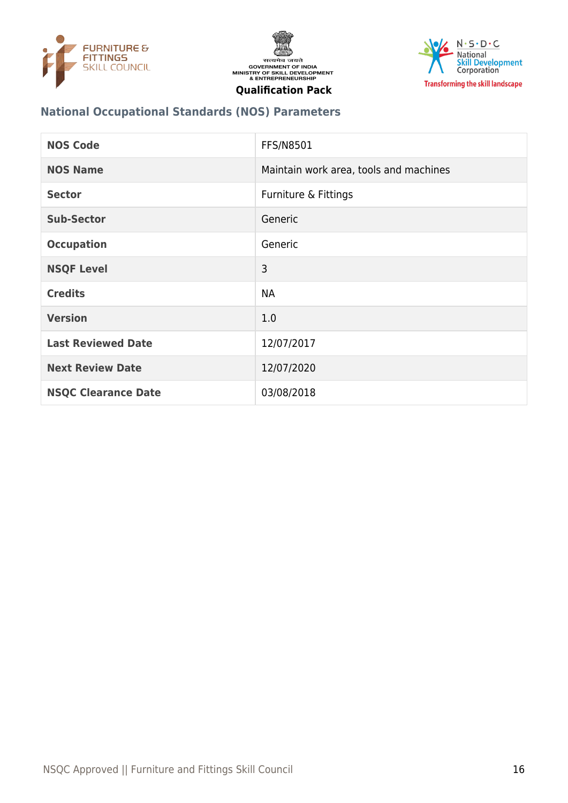





# **National Occupational Standards (NOS) Parameters**

| <b>NOS Code</b>            | <b>FFS/N8501</b>                       |
|----------------------------|----------------------------------------|
| <b>NOS Name</b>            | Maintain work area, tools and machines |
| <b>Sector</b>              | Furniture & Fittings                   |
| <b>Sub-Sector</b>          | Generic                                |
| <b>Occupation</b>          | Generic                                |
| <b>NSQF Level</b>          | 3                                      |
| <b>Credits</b>             | <b>NA</b>                              |
| <b>Version</b>             | 1.0                                    |
| <b>Last Reviewed Date</b>  | 12/07/2017                             |
| <b>Next Review Date</b>    | 12/07/2020                             |
| <b>NSQC Clearance Date</b> | 03/08/2018                             |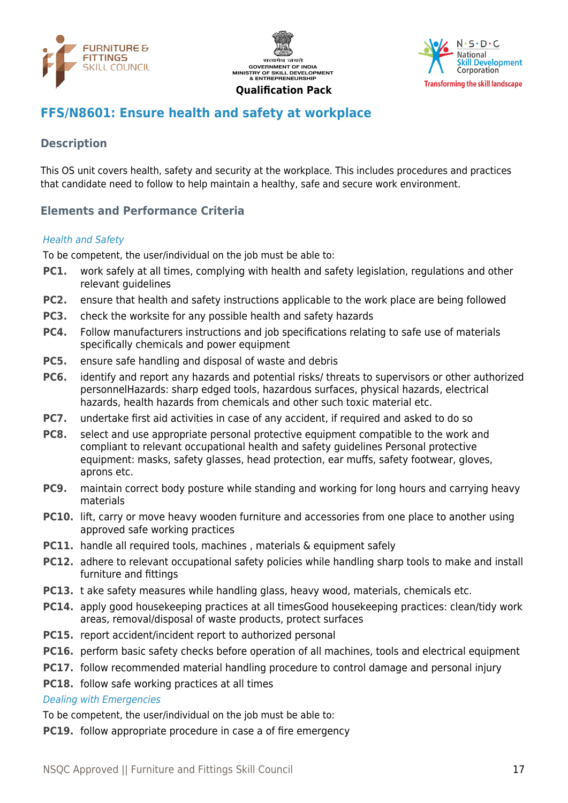





# <span id="page-16-0"></span>**FFS/N8601: Ensure health and safety at workplace**

#### **Description**

This OS unit covers health, safety and security at the workplace. This includes procedures and practices that candidate need to follow to help maintain a healthy, safe and secure work environment.

#### **Elements and Performance Criteria**

#### Health and Safety

To be competent, the user/individual on the job must be able to:

- **PC1.** work safely at all times, complying with health and safety legislation, regulations and other relevant guidelines
- **PC2.** ensure that health and safety instructions applicable to the work place are being followed
- **PC3.** check the worksite for any possible health and safety hazards
- **PC4.** Follow manufacturers instructions and job specifications relating to safe use of materials specifically chemicals and power equipment
- **PC5.** ensure safe handling and disposal of waste and debris
- **PC6.** identify and report any hazards and potential risks/ threats to supervisors or other authorized personnelHazards: sharp edged tools, hazardous surfaces, physical hazards, electrical hazards, health hazards from chemicals and other such toxic material etc.
- **PC7.** undertake first aid activities in case of any accident, if required and asked to do so
- **PC8.** select and use appropriate personal protective equipment compatible to the work and compliant to relevant occupational health and safety guidelines Personal protective equipment: masks, safety glasses, head protection, ear muffs, safety footwear, gloves, aprons etc.
- **PC9.** maintain correct body posture while standing and working for long hours and carrying heavy materials
- **PC10.** lift, carry or move heavy wooden furniture and accessories from one place to another using approved safe working practices
- **PC11.** handle all required tools, machines, materials & equipment safely
- **PC12.** adhere to relevant occupational safety policies while handling sharp tools to make and install furniture and fittings
- **PC13.** t ake safety measures while handling glass, heavy wood, materials, chemicals etc.
- **PC14.** apply good housekeeping practices at all timesGood housekeeping practices: clean/tidy work areas, removal/disposal of waste products, protect surfaces
- **PC15.** report accident/incident report to authorized personal
- **PC16.** perform basic safety checks before operation of all machines, tools and electrical equipment
- **PC17.** follow recommended material handling procedure to control damage and personal injury
- **PC18.** follow safe working practices at all times

#### Dealing with Emergencies

To be competent, the user/individual on the job must be able to:

**PC19.** follow appropriate procedure in case a of fire emergency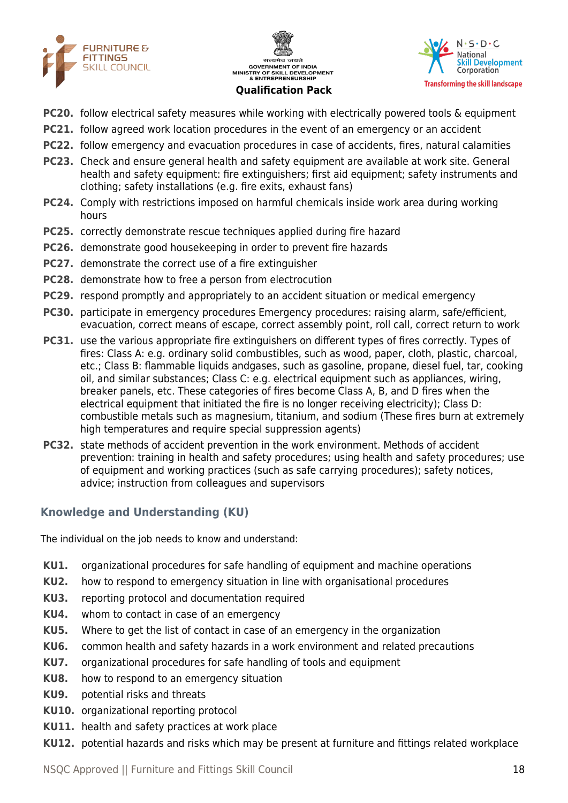





- **PC20.** follow electrical safety measures while working with electrically powered tools & equipment
- **PC21.** follow agreed work location procedures in the event of an emergency or an accident
- **PC22.** follow emergency and evacuation procedures in case of accidents, fires, natural calamities
- **PC23.** Check and ensure general health and safety equipment are available at work site. General health and safety equipment: fire extinguishers; first aid equipment; safety instruments and clothing; safety installations (e.g. fire exits, exhaust fans)
- **PC24.** Comply with restrictions imposed on harmful chemicals inside work area during working hours
- **PC25.** correctly demonstrate rescue techniques applied during fire hazard
- **PC26.** demonstrate good housekeeping in order to prevent fire hazards
- **PC27.** demonstrate the correct use of a fire extinguisher
- **PC28.** demonstrate how to free a person from electrocution
- **PC29.** respond promptly and appropriately to an accident situation or medical emergency
- **PC30.** participate in emergency procedures Emergency procedures: raising alarm, safe/efficient, evacuation, correct means of escape, correct assembly point, roll call, correct return to work
- **PC31.** use the various appropriate fire extinguishers on different types of fires correctly. Types of fires: Class A: e.g. ordinary solid combustibles, such as wood, paper, cloth, plastic, charcoal, etc.; Class B: flammable liquids andgases, such as gasoline, propane, diesel fuel, tar, cooking oil, and similar substances; Class C: e.g. electrical equipment such as appliances, wiring, breaker panels, etc. These categories of fires become Class A, B, and D fires when the electrical equipment that initiated the fire is no longer receiving electricity); Class D: combustible metals such as magnesium, titanium, and sodium (These fires burn at extremely high temperatures and require special suppression agents)
- **PC32.** state methods of accident prevention in the work environment. Methods of accident prevention: training in health and safety procedures; using health and safety procedures; use of equipment and working practices (such as safe carrying procedures); safety notices, advice; instruction from colleagues and supervisors

# **Knowledge and Understanding (KU)**

The individual on the job needs to know and understand:

- **KU1.** organizational procedures for safe handling of equipment and machine operations
- **KU2.** how to respond to emergency situation in line with organisational procedures
- **KU3.** reporting protocol and documentation required
- **KU4.** whom to contact in case of an emergency
- **KU5.** Where to get the list of contact in case of an emergency in the organization
- **KU6.** common health and safety hazards in a work environment and related precautions
- **KU7.** organizational procedures for safe handling of tools and equipment
- **KU8.** how to respond to an emergency situation
- **KU9.** potential risks and threats
- **KU10.** organizational reporting protocol
- **KU11.** health and safety practices at work place
- **KU12.** potential hazards and risks which may be present at furniture and fittings related workplace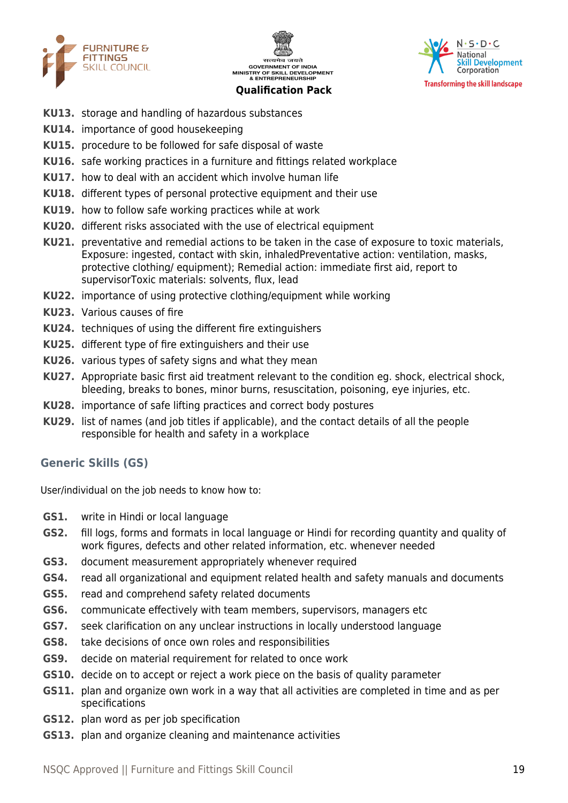





- **KU13.** storage and handling of hazardous substances
- **KU14.** importance of good housekeeping
- **KU15.** procedure to be followed for safe disposal of waste
- **KU16.** safe working practices in a furniture and fittings related workplace
- **KU17.** how to deal with an accident which involve human life
- **KU18.** different types of personal protective equipment and their use
- **KU19.** how to follow safe working practices while at work
- **KU20.** different risks associated with the use of electrical equipment
- **KU21.** preventative and remedial actions to be taken in the case of exposure to toxic materials, Exposure: ingested, contact with skin, inhaledPreventative action: ventilation, masks, protective clothing/ equipment); Remedial action: immediate first aid, report to supervisorToxic materials: solvents, flux, lead
- **KU22.** importance of using protective clothing/equipment while working
- **KU23.** Various causes of fire
- **KU24.** techniques of using the different fire extinguishers
- **KU25.** different type of fire extinguishers and their use
- **KU26.** various types of safety signs and what they mean
- **KU27.** Appropriate basic first aid treatment relevant to the condition eg. shock, electrical shock, bleeding, breaks to bones, minor burns, resuscitation, poisoning, eye injuries, etc.
- **KU28.** importance of safe lifting practices and correct body postures
- **KU29.** list of names (and job titles if applicable), and the contact details of all the people responsible for health and safety in a workplace

#### **Generic Skills (GS)**

User/individual on the job needs to know how to:

- **GS1.** write in Hindi or local language
- **GS2.** fill logs, forms and formats in local language or Hindi for recording quantity and quality of work figures, defects and other related information, etc. whenever needed
- **GS3.** document measurement appropriately whenever required
- **GS4.** read all organizational and equipment related health and safety manuals and documents
- **GS5.** read and comprehend safety related documents
- **GS6.** communicate effectively with team members, supervisors, managers etc
- **GS7.** seek clarification on any unclear instructions in locally understood language
- **GS8.** take decisions of once own roles and responsibilities
- **GS9.** decide on material requirement for related to once work
- **GS10.** decide on to accept or reject a work piece on the basis of quality parameter
- **GS11.** plan and organize own work in a way that all activities are completed in time and as per specifications
- **GS12.** plan word as per job specification
- **GS13.** plan and organize cleaning and maintenance activities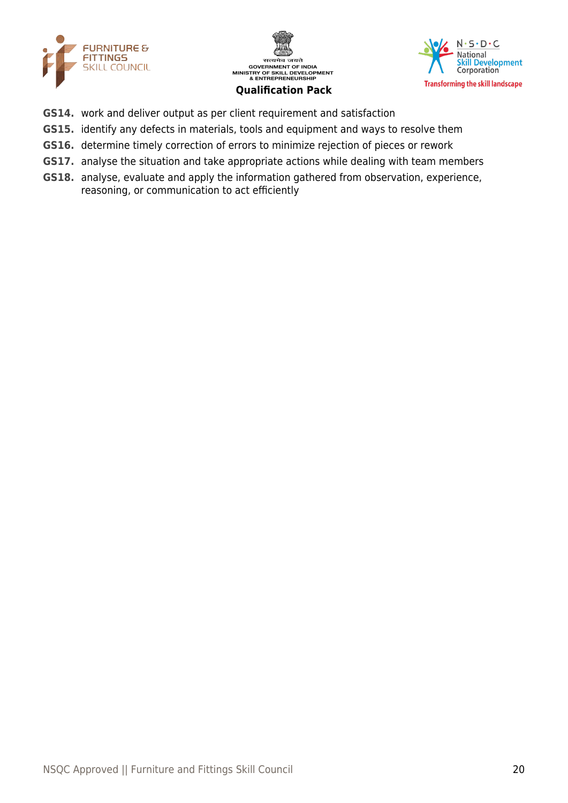





- **GS14.** work and deliver output as per client requirement and satisfaction
- **GS15.** identify any defects in materials, tools and equipment and ways to resolve them
- **GS16.** determine timely correction of errors to minimize rejection of pieces or rework
- **GS17.** analyse the situation and take appropriate actions while dealing with team members
- **GS18.** analyse, evaluate and apply the information gathered from observation, experience, reasoning, or communication to act efficiently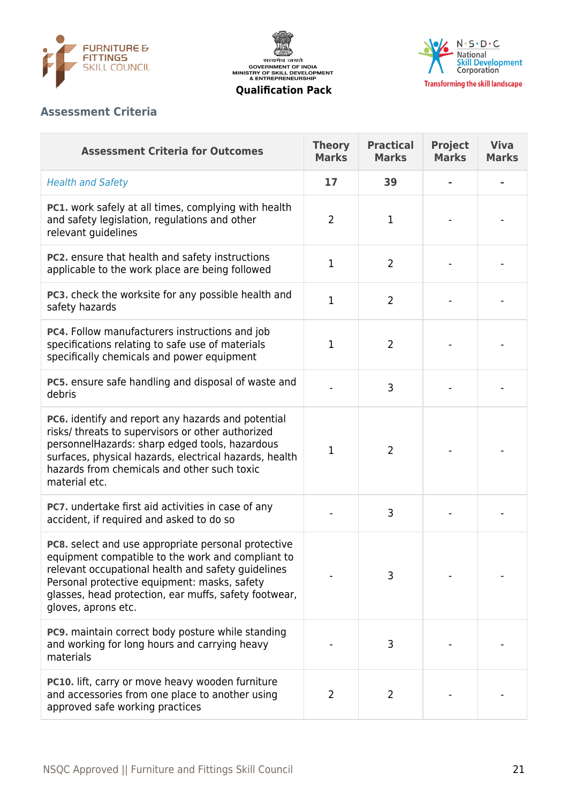





# **Assessment Criteria**

| <b>Assessment Criteria for Outcomes</b>                                                                                                                                                                                                                                                        | <b>Theory</b><br><b>Marks</b> | <b>Practical</b><br><b>Marks</b> | <b>Project</b><br><b>Marks</b> | <b>Viva</b><br><b>Marks</b> |
|------------------------------------------------------------------------------------------------------------------------------------------------------------------------------------------------------------------------------------------------------------------------------------------------|-------------------------------|----------------------------------|--------------------------------|-----------------------------|
| <b>Health and Safety</b>                                                                                                                                                                                                                                                                       | 17                            | 39                               |                                |                             |
| <b>PC1.</b> work safely at all times, complying with health<br>and safety legislation, regulations and other<br>relevant guidelines                                                                                                                                                            | $\overline{2}$                | 1                                |                                |                             |
| PC2. ensure that health and safety instructions<br>applicable to the work place are being followed                                                                                                                                                                                             | $\mathbf 1$                   | $\overline{2}$                   |                                |                             |
| PC3. check the worksite for any possible health and<br>safety hazards                                                                                                                                                                                                                          | $\mathbf{1}$                  | $\overline{2}$                   |                                |                             |
| PC4. Follow manufacturers instructions and job<br>specifications relating to safe use of materials<br>specifically chemicals and power equipment                                                                                                                                               | $\mathbf{1}$                  | $\overline{2}$                   |                                |                             |
| PC5. ensure safe handling and disposal of waste and<br>debris                                                                                                                                                                                                                                  |                               | 3                                |                                |                             |
| PC6. identify and report any hazards and potential<br>risks/ threats to supervisors or other authorized<br>personnelHazards: sharp edged tools, hazardous<br>surfaces, physical hazards, electrical hazards, health<br>hazards from chemicals and other such toxic<br>material etc.            | $\mathbf 1$                   | $\overline{2}$                   |                                |                             |
| PC7. undertake first aid activities in case of any<br>accident, if required and asked to do so                                                                                                                                                                                                 |                               | 3                                |                                |                             |
| PC8. select and use appropriate personal protective<br>equipment compatible to the work and compliant to<br>relevant occupational health and safety quidelines<br>Personal protective equipment: masks, safety<br>glasses, head protection, ear muffs, safety footwear,<br>gloves, aprons etc. |                               | 3                                |                                |                             |
| PC9. maintain correct body posture while standing<br>and working for long hours and carrying heavy<br>materials                                                                                                                                                                                |                               | 3                                |                                |                             |
| PC10. lift, carry or move heavy wooden furniture<br>and accessories from one place to another using<br>approved safe working practices                                                                                                                                                         | $\overline{2}$                | 2                                |                                |                             |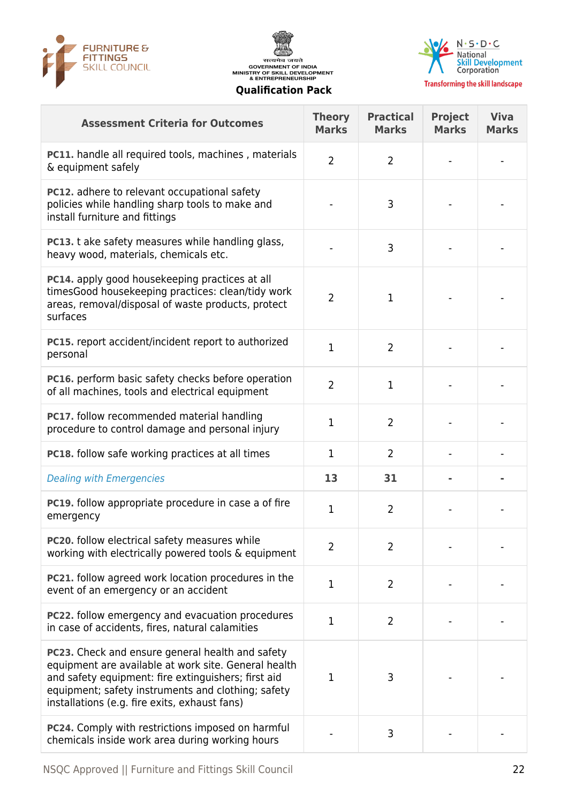





| <b>Assessment Criteria for Outcomes</b>                                                                                                                                                                                                                                | <b>Theory</b><br><b>Marks</b> | <b>Practical</b><br><b>Marks</b> | <b>Project</b><br><b>Marks</b> | <b>Viva</b><br><b>Marks</b> |
|------------------------------------------------------------------------------------------------------------------------------------------------------------------------------------------------------------------------------------------------------------------------|-------------------------------|----------------------------------|--------------------------------|-----------------------------|
| PC11. handle all required tools, machines, materials<br>& equipment safely                                                                                                                                                                                             | $\overline{2}$                | $\overline{2}$                   |                                |                             |
| PC12. adhere to relevant occupational safety<br>policies while handling sharp tools to make and<br>install furniture and fittings                                                                                                                                      |                               | 3                                |                                |                             |
| PC13. t ake safety measures while handling glass,<br>heavy wood, materials, chemicals etc.                                                                                                                                                                             |                               | 3                                |                                |                             |
| PC14. apply good housekeeping practices at all<br>timesGood housekeeping practices: clean/tidy work<br>areas, removal/disposal of waste products, protect<br>surfaces                                                                                                  | 2                             | $\mathbf{1}$                     |                                |                             |
| PC15. report accident/incident report to authorized<br>personal                                                                                                                                                                                                        | $\mathbf{1}$                  | $\overline{2}$                   |                                |                             |
| PC16. perform basic safety checks before operation<br>of all machines, tools and electrical equipment                                                                                                                                                                  | $\overline{2}$                | $\mathbf{1}$                     |                                |                             |
| PC17. follow recommended material handling<br>procedure to control damage and personal injury                                                                                                                                                                          | 1                             | $\overline{2}$                   |                                |                             |
| PC18. follow safe working practices at all times                                                                                                                                                                                                                       | $\mathbf 1$                   | $\overline{2}$                   |                                |                             |
| <b>Dealing with Emergencies</b>                                                                                                                                                                                                                                        | 13                            | 31                               |                                |                             |
| PC19. follow appropriate procedure in case a of fire<br>emergency                                                                                                                                                                                                      | $\mathbf 1$                   | $\overline{2}$                   |                                |                             |
| <b>PC20.</b> follow electrical safety measures while<br>working with electrically powered tools & equipment                                                                                                                                                            | 2                             | 2                                |                                |                             |
| <b>PC21.</b> follow agreed work location procedures in the<br>event of an emergency or an accident                                                                                                                                                                     | $\mathbf 1$                   | $\overline{2}$                   |                                |                             |
| <b>PC22.</b> follow emergency and evacuation procedures<br>in case of accidents, fires, natural calamities                                                                                                                                                             | $\mathbf{1}$                  | $\overline{2}$                   |                                |                             |
| PC23. Check and ensure general health and safety<br>equipment are available at work site. General health<br>and safety equipment: fire extinguishers; first aid<br>equipment; safety instruments and clothing; safety<br>installations (e.g. fire exits, exhaust fans) | 1                             | 3                                |                                |                             |
| PC24. Comply with restrictions imposed on harmful<br>chemicals inside work area during working hours                                                                                                                                                                   |                               | 3                                |                                |                             |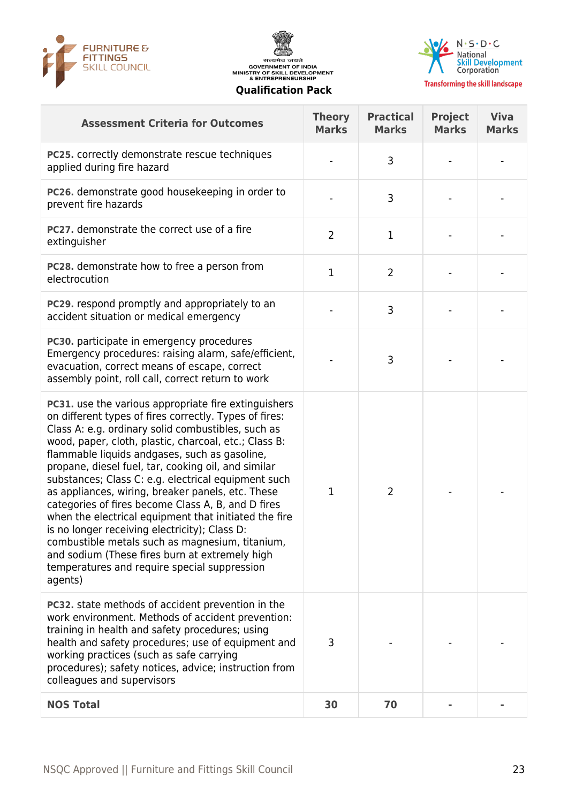





**Transforming the skill landscape** 

| <b>Assessment Criteria for Outcomes</b>                                                                                                                                                                                                                                                                                                                                                                                                                                                                                                                                                                                                                                                                                                                                           | <b>Theory</b><br><b>Marks</b> | <b>Practical</b><br><b>Marks</b> | <b>Project</b><br><b>Marks</b> | <b>Viva</b><br><b>Marks</b> |
|-----------------------------------------------------------------------------------------------------------------------------------------------------------------------------------------------------------------------------------------------------------------------------------------------------------------------------------------------------------------------------------------------------------------------------------------------------------------------------------------------------------------------------------------------------------------------------------------------------------------------------------------------------------------------------------------------------------------------------------------------------------------------------------|-------------------------------|----------------------------------|--------------------------------|-----------------------------|
| PC25. correctly demonstrate rescue techniques<br>applied during fire hazard                                                                                                                                                                                                                                                                                                                                                                                                                                                                                                                                                                                                                                                                                                       |                               | 3                                |                                |                             |
| PC26. demonstrate good housekeeping in order to<br>prevent fire hazards                                                                                                                                                                                                                                                                                                                                                                                                                                                                                                                                                                                                                                                                                                           |                               | 3                                |                                |                             |
| PC27. demonstrate the correct use of a fire<br>extinguisher                                                                                                                                                                                                                                                                                                                                                                                                                                                                                                                                                                                                                                                                                                                       | $\overline{2}$                | $\mathbf 1$                      |                                |                             |
| PC28. demonstrate how to free a person from<br>electrocution                                                                                                                                                                                                                                                                                                                                                                                                                                                                                                                                                                                                                                                                                                                      | $\mathbf{1}$                  | $\overline{2}$                   |                                |                             |
| <b>PC29.</b> respond promptly and appropriately to an<br>accident situation or medical emergency                                                                                                                                                                                                                                                                                                                                                                                                                                                                                                                                                                                                                                                                                  |                               | 3                                |                                |                             |
| PC30. participate in emergency procedures<br>Emergency procedures: raising alarm, safe/efficient,<br>evacuation, correct means of escape, correct<br>assembly point, roll call, correct return to work                                                                                                                                                                                                                                                                                                                                                                                                                                                                                                                                                                            |                               | 3                                |                                |                             |
| PC31. use the various appropriate fire extinguishers<br>on different types of fires correctly. Types of fires:<br>Class A: e.g. ordinary solid combustibles, such as<br>wood, paper, cloth, plastic, charcoal, etc.; Class B:<br>flammable liquids andgases, such as gasoline,<br>propane, diesel fuel, tar, cooking oil, and similar<br>substances; Class C: e.g. electrical equipment such<br>as appliances, wiring, breaker panels, etc. These<br>categories of fires become Class A, B, and D fires<br>when the electrical equipment that initiated the fire<br>is no longer receiving electricity); Class D:<br>combustible metals such as magnesium, titanium,<br>and sodium (These fires burn at extremely high<br>temperatures and require special suppression<br>agents) | 1                             | $\overline{2}$                   |                                |                             |
| PC32. state methods of accident prevention in the<br>work environment. Methods of accident prevention:<br>training in health and safety procedures; using<br>health and safety procedures; use of equipment and<br>working practices (such as safe carrying<br>procedures); safety notices, advice; instruction from<br>colleagues and supervisors                                                                                                                                                                                                                                                                                                                                                                                                                                | 3                             |                                  |                                |                             |
| <b>NOS Total</b>                                                                                                                                                                                                                                                                                                                                                                                                                                                                                                                                                                                                                                                                                                                                                                  | 30                            | 70                               |                                |                             |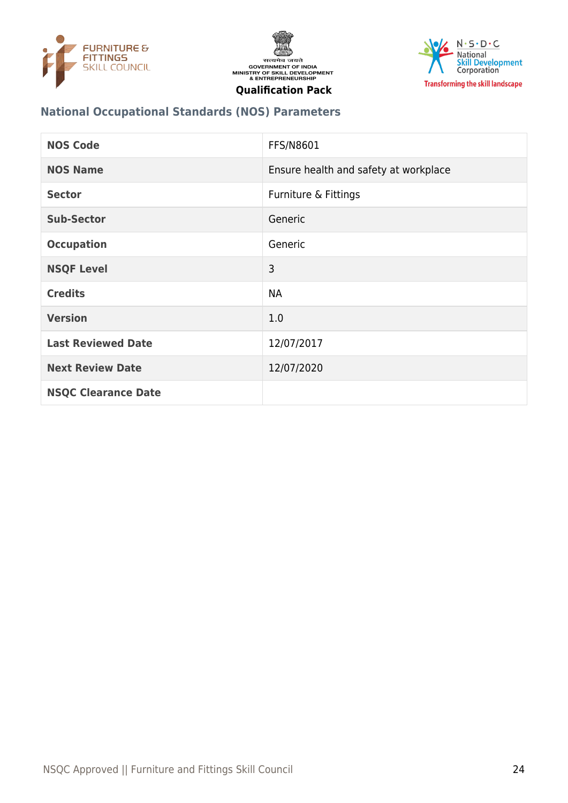





# **National Occupational Standards (NOS) Parameters**

| <b>NOS Code</b>            | FFS/N8601                             |
|----------------------------|---------------------------------------|
| <b>NOS Name</b>            | Ensure health and safety at workplace |
| <b>Sector</b>              | Furniture & Fittings                  |
| <b>Sub-Sector</b>          | Generic                               |
| <b>Occupation</b>          | Generic                               |
| <b>NSQF Level</b>          | 3                                     |
| <b>Credits</b>             | <b>NA</b>                             |
| <b>Version</b>             | 1.0                                   |
| <b>Last Reviewed Date</b>  | 12/07/2017                            |
| <b>Next Review Date</b>    | 12/07/2020                            |
| <b>NSQC Clearance Date</b> |                                       |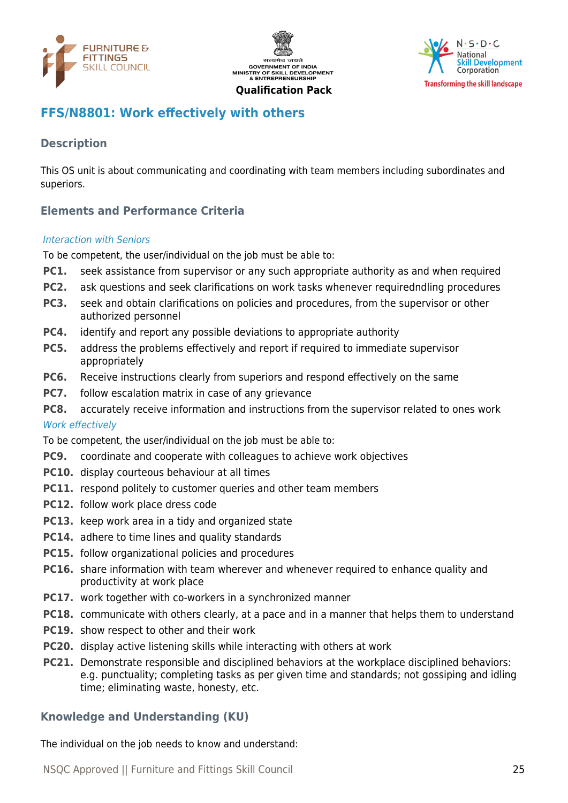





# <span id="page-24-0"></span>**FFS/N8801: Work effectively with others**

# **Description**

This OS unit is about communicating and coordinating with team members including subordinates and superiors.

# **Elements and Performance Criteria**

#### Interaction with Seniors

To be competent, the user/individual on the job must be able to:

- **PC1.** seek assistance from supervisor or any such appropriate authority as and when required
- **PC2.** ask questions and seek clarifications on work tasks whenever requiredndling procedures
- **PC3.** seek and obtain clarifications on policies and procedures, from the supervisor or other authorized personnel
- **PC4.** identify and report any possible deviations to appropriate authority
- **PC5.** address the problems effectively and report if required to immediate supervisor appropriately
- **PC6.** Receive instructions clearly from superiors and respond effectively on the same
- **PC7.** follow escalation matrix in case of any grievance
- **PC8.** accurately receive information and instructions from the supervisor related to ones work

#### Work effectively

To be competent, the user/individual on the job must be able to:

- **PC9.** coordinate and cooperate with colleagues to achieve work objectives
- **PC10.** display courteous behaviour at all times
- **PC11.** respond politely to customer queries and other team members
- **PC12.** follow work place dress code
- **PC13.** keep work area in a tidy and organized state
- **PC14.** adhere to time lines and quality standards
- **PC15.** follow organizational policies and procedures
- **PC16.** share information with team wherever and whenever required to enhance quality and productivity at work place
- **PC17.** work together with co-workers in a synchronized manner
- **PC18.** communicate with others clearly, at a pace and in a manner that helps them to understand
- **PC19.** show respect to other and their work
- **PC20.** display active listening skills while interacting with others at work
- **PC21.** Demonstrate responsible and disciplined behaviors at the workplace disciplined behaviors: e.g. punctuality; completing tasks as per given time and standards; not gossiping and idling time; eliminating waste, honesty, etc.

#### **Knowledge and Understanding (KU)**

The individual on the job needs to know and understand: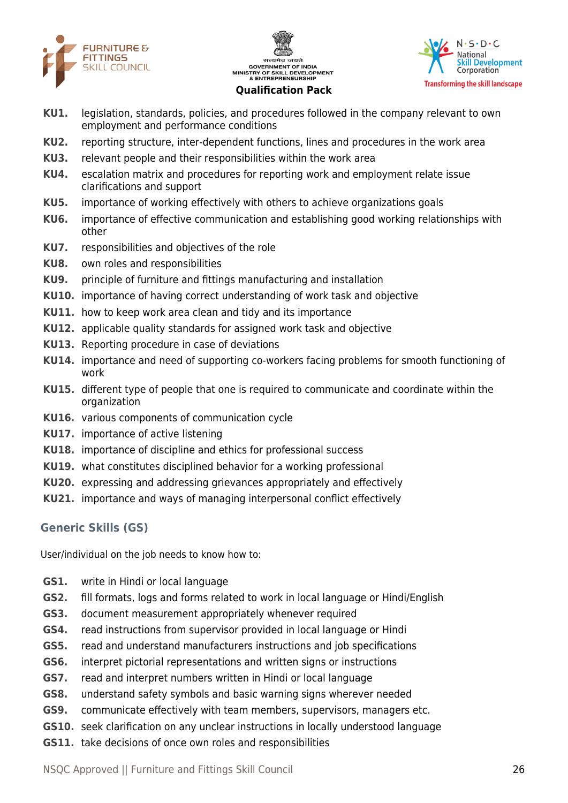





- **KU1.** legislation, standards, policies, and procedures followed in the company relevant to own employment and performance conditions
- **KU2.** reporting structure, inter-dependent functions, lines and procedures in the work area
- **KU3.** relevant people and their responsibilities within the work area
- **KU4.** escalation matrix and procedures for reporting work and employment relate issue clarifications and support
- **KU5.** importance of working effectively with others to achieve organizations goals
- **KU6.** importance of effective communication and establishing good working relationships with other
- **KU7.** responsibilities and objectives of the role
- **KU8.** own roles and responsibilities
- **KU9.** principle of furniture and fittings manufacturing and installation
- **KU10.** importance of having correct understanding of work task and objective
- **KU11.** how to keep work area clean and tidy and its importance
- **KU12.** applicable quality standards for assigned work task and objective
- **KU13.** Reporting procedure in case of deviations
- **KU14.** importance and need of supporting co-workers facing problems for smooth functioning of work
- **KU15.** different type of people that one is required to communicate and coordinate within the organization
- **KU16.** various components of communication cycle
- **KU17.** importance of active listening
- **KU18.** importance of discipline and ethics for professional success
- **KU19.** what constitutes disciplined behavior for a working professional
- **KU20.** expressing and addressing grievances appropriately and effectively
- **KU21.** importance and ways of managing interpersonal conflict effectively

# **Generic Skills (GS)**

User/individual on the job needs to know how to:

- **GS1.** write in Hindi or local language
- **GS2.** fill formats, logs and forms related to work in local language or Hindi/English
- **GS3.** document measurement appropriately whenever required
- **GS4.** read instructions from supervisor provided in local language or Hindi
- **GS5.** read and understand manufacturers instructions and job specifications
- **GS6.** interpret pictorial representations and written signs or instructions
- **GS7.** read and interpret numbers written in Hindi or local language
- **GS8.** understand safety symbols and basic warning signs wherever needed
- **GS9.** communicate effectively with team members, supervisors, managers etc.
- **GS10.** seek clarification on any unclear instructions in locally understood language
- **GS11.** take decisions of once own roles and responsibilities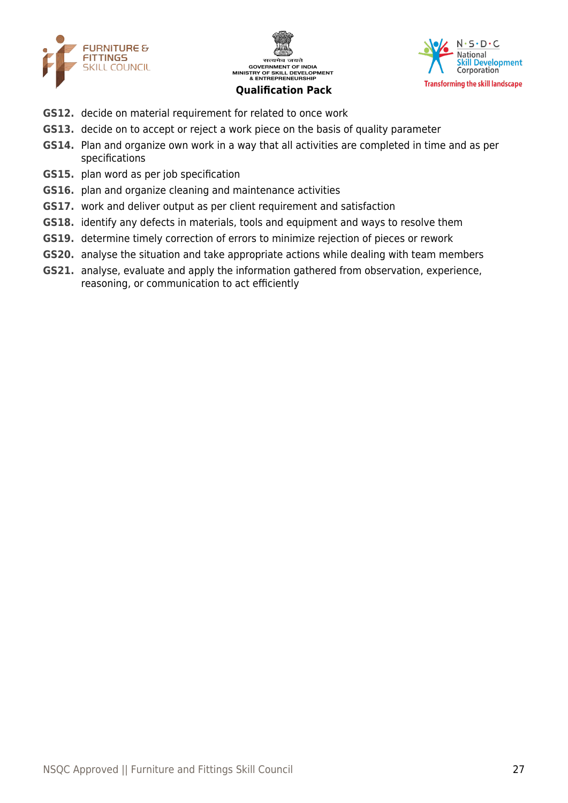





- **GS12.** decide on material requirement for related to once work
- **GS13.** decide on to accept or reject a work piece on the basis of quality parameter
- **GS14.** Plan and organize own work in a way that all activities are completed in time and as per specifications
- **GS15.** plan word as per job specification
- **GS16.** plan and organize cleaning and maintenance activities
- **GS17.** work and deliver output as per client requirement and satisfaction
- **GS18.** identify any defects in materials, tools and equipment and ways to resolve them
- **GS19.** determine timely correction of errors to minimize rejection of pieces or rework
- **GS20.** analyse the situation and take appropriate actions while dealing with team members
- **GS21.** analyse, evaluate and apply the information gathered from observation, experience, reasoning, or communication to act efficiently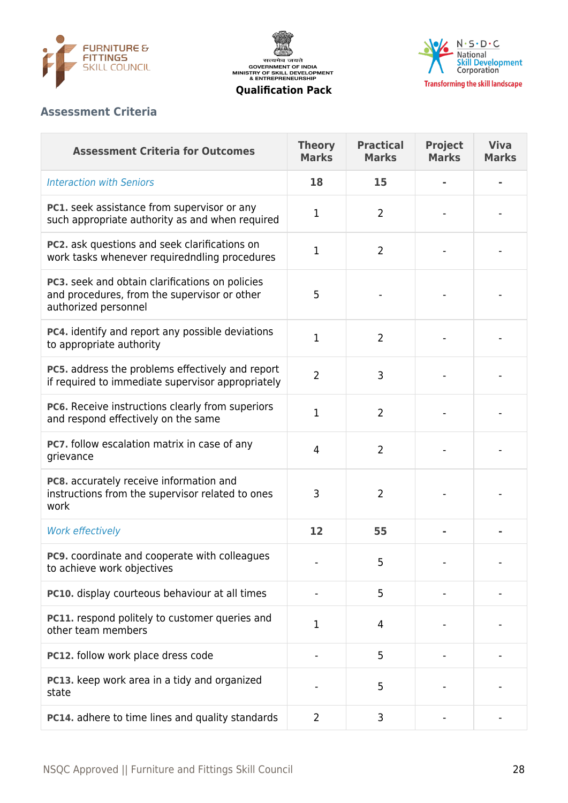

सत्यमेव जयते<br>GOVERNMENT OF INDIA<br>MINISTRY OF SKILL DEVELOPMENT<br>& ENTREPRENEURSHIP



**Qualification Pack**

# **Assessment Criteria**

| <b>Assessment Criteria for Outcomes</b>                                                                                 | <b>Theory</b><br><b>Marks</b> | <b>Practical</b><br><b>Marks</b> | <b>Project</b><br><b>Marks</b> | <b>Viva</b><br><b>Marks</b> |
|-------------------------------------------------------------------------------------------------------------------------|-------------------------------|----------------------------------|--------------------------------|-----------------------------|
| <b>Interaction with Seniors</b>                                                                                         | 18                            | 15                               |                                |                             |
| PC1. seek assistance from supervisor or any<br>such appropriate authority as and when required                          | 1                             | $\overline{2}$                   |                                |                             |
| PC2. ask questions and seek clarifications on<br>work tasks whenever requiredndling procedures                          | 1                             | $\overline{2}$                   |                                |                             |
| PC3. seek and obtain clarifications on policies<br>and procedures, from the supervisor or other<br>authorized personnel | 5                             |                                  |                                |                             |
| PC4. identify and report any possible deviations<br>to appropriate authority                                            | 1                             | $\overline{2}$                   |                                |                             |
| PC5. address the problems effectively and report<br>if required to immediate supervisor appropriately                   | $\overline{2}$                | 3                                |                                |                             |
| PC6. Receive instructions clearly from superiors<br>and respond effectively on the same                                 | 1                             | $\overline{2}$                   |                                |                             |
| PC7. follow escalation matrix in case of any<br>grievance                                                               | $\overline{4}$                | $\overline{2}$                   |                                |                             |
| PC8. accurately receive information and<br>instructions from the supervisor related to ones<br>work                     | 3                             | $\overline{2}$                   |                                |                             |
| <b>Work effectively</b>                                                                                                 | 12                            | 55                               |                                |                             |
| PC9. coordinate and cooperate with colleagues<br>to achieve work objectives                                             |                               | 5                                |                                |                             |
| PC10. display courteous behaviour at all times                                                                          |                               | 5                                |                                |                             |
| PC11. respond politely to customer queries and<br>other team members                                                    | 1                             | 4                                |                                |                             |
| PC12. follow work place dress code                                                                                      |                               | 5                                |                                |                             |
| PC13. keep work area in a tidy and organized<br>state                                                                   |                               | 5                                |                                |                             |
| PC14. adhere to time lines and quality standards                                                                        | $\overline{2}$                | 3                                |                                |                             |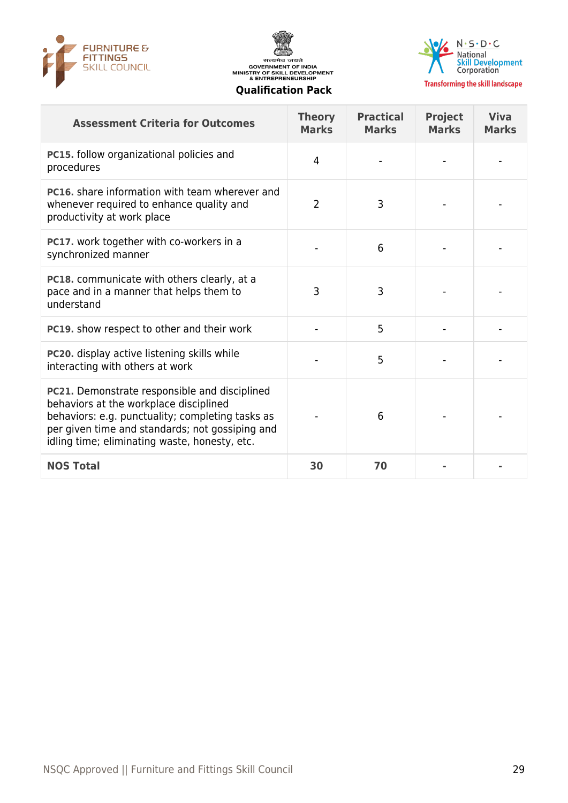





**Transforming the skill landscape** 

| <b>Assessment Criteria for Outcomes</b>                                                                                                                                                                                                         | <b>Theory</b><br><b>Marks</b> | <b>Practical</b><br><b>Marks</b> | <b>Project</b><br><b>Marks</b> | <b>Viva</b><br><b>Marks</b> |
|-------------------------------------------------------------------------------------------------------------------------------------------------------------------------------------------------------------------------------------------------|-------------------------------|----------------------------------|--------------------------------|-----------------------------|
| PC15. follow organizational policies and<br>procedures                                                                                                                                                                                          | 4                             |                                  |                                |                             |
| <b>PC16.</b> share information with team wherever and<br>whenever required to enhance quality and<br>productivity at work place                                                                                                                 | $\overline{2}$                | 3                                |                                |                             |
| PC17. work together with co-workers in a<br>synchronized manner                                                                                                                                                                                 |                               | 6                                |                                |                             |
| <b>PC18.</b> communicate with others clearly, at a<br>pace and in a manner that helps them to<br>understand                                                                                                                                     | 3                             | 3                                |                                |                             |
| <b>PC19.</b> show respect to other and their work                                                                                                                                                                                               |                               | 5                                |                                |                             |
| PC20. display active listening skills while<br>interacting with others at work                                                                                                                                                                  |                               | 5                                |                                |                             |
| PC21. Demonstrate responsible and disciplined<br>behaviors at the workplace disciplined<br>behaviors: e.g. punctuality; completing tasks as<br>per given time and standards; not gossiping and<br>idling time; eliminating waste, honesty, etc. |                               | 6                                |                                |                             |
| <b>NOS Total</b>                                                                                                                                                                                                                                | 30                            | 70                               |                                |                             |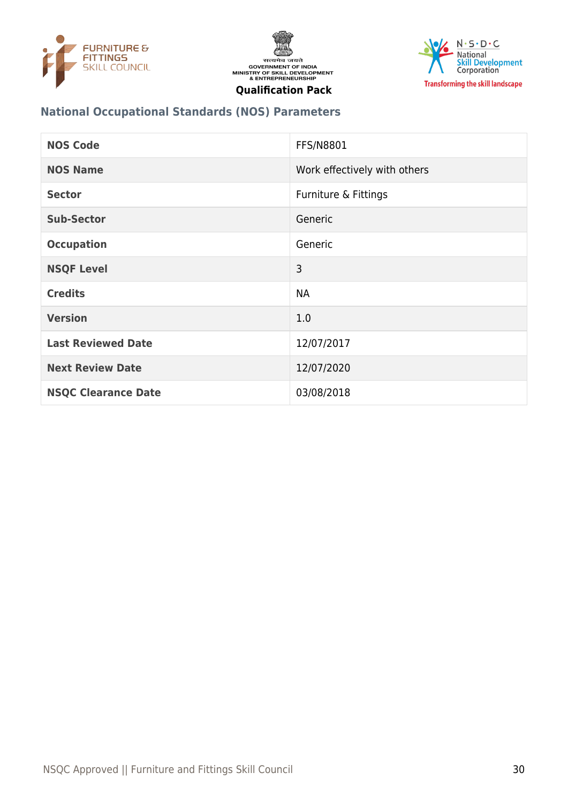





# **National Occupational Standards (NOS) Parameters**

| <b>NOS Code</b>            | <b>FFS/N8801</b>             |
|----------------------------|------------------------------|
| <b>NOS Name</b>            | Work effectively with others |
| <b>Sector</b>              | Furniture & Fittings         |
| <b>Sub-Sector</b>          | Generic                      |
| <b>Occupation</b>          | Generic                      |
| <b>NSQF Level</b>          | 3                            |
| <b>Credits</b>             | <b>NA</b>                    |
| <b>Version</b>             | 1.0                          |
| <b>Last Reviewed Date</b>  | 12/07/2017                   |
| <b>Next Review Date</b>    | 12/07/2020                   |
| <b>NSQC Clearance Date</b> | 03/08/2018                   |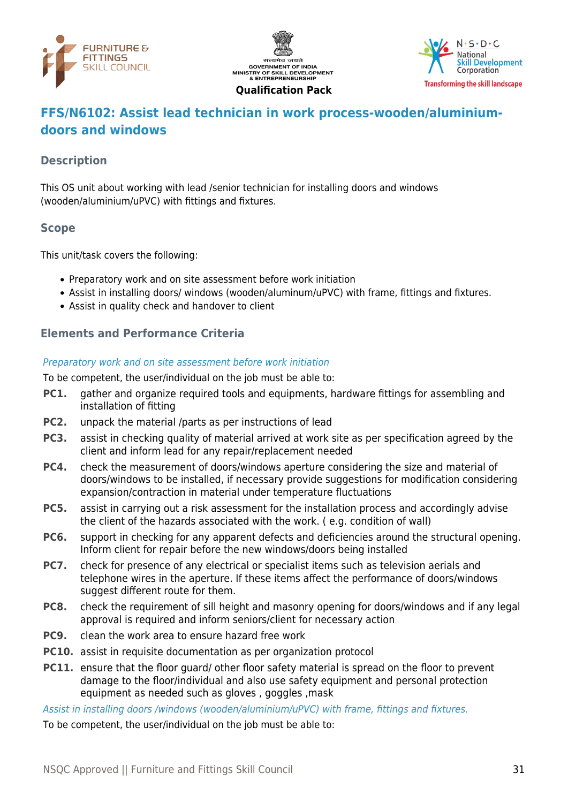





# <span id="page-30-0"></span>**FFS/N6102: Assist lead technician in work process-wooden/aluminiumdoors and windows**

# **Description**

This OS unit about working with lead /senior technician for installing doors and windows (wooden/aluminium/uPVC) with fittings and fixtures.

#### **Scope**

This unit/task covers the following:

- Preparatory work and on site assessment before work initiation
- Assist in installing doors/ windows (wooden/aluminum/uPVC) with frame, fittings and fixtures.
- Assist in quality check and handover to client

#### **Elements and Performance Criteria**

#### Preparatory work and on site assessment before work initiation

To be competent, the user/individual on the job must be able to:

- **PC1.** gather and organize required tools and equipments, hardware fittings for assembling and installation of fitting
- **PC2.** unpack the material /parts as per instructions of lead
- **PC3.** assist in checking quality of material arrived at work site as per specification agreed by the client and inform lead for any repair/replacement needed
- **PC4.** check the measurement of doors/windows aperture considering the size and material of doors/windows to be installed, if necessary provide suggestions for modification considering expansion/contraction in material under temperature fluctuations
- **PC5.** assist in carrying out a risk assessment for the installation process and accordingly advise the client of the hazards associated with the work. ( e.g. condition of wall)
- **PC6.** support in checking for any apparent defects and deficiencies around the structural opening. Inform client for repair before the new windows/doors being installed
- **PC7.** check for presence of any electrical or specialist items such as television aerials and telephone wires in the aperture. If these items affect the performance of doors/windows suggest different route for them.
- **PC8.** check the requirement of sill height and masonry opening for doors/windows and if any legal approval is required and inform seniors/client for necessary action
- **PC9.** clean the work area to ensure hazard free work
- **PC10.** assist in requisite documentation as per organization protocol
- **PC11.** ensure that the floor quard/ other floor safety material is spread on the floor to prevent damage to the floor/individual and also use safety equipment and personal protection equipment as needed such as gloves , goggles ,mask

Assist in installing doors /windows (wooden/aluminium/uPVC) with frame, fittings and fixtures.

To be competent, the user/individual on the job must be able to: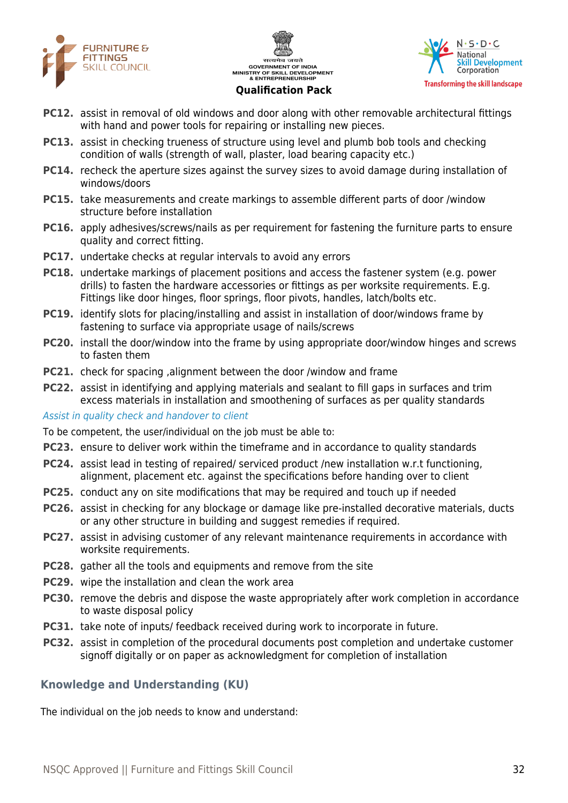





- **PC12.** assist in removal of old windows and door along with other removable architectural fittings with hand and power tools for repairing or installing new pieces.
- **PC13.** assist in checking trueness of structure using level and plumb bob tools and checking condition of walls (strength of wall, plaster, load bearing capacity etc.)
- **PC14.** recheck the aperture sizes against the survey sizes to avoid damage during installation of windows/doors
- **PC15.** take measurements and create markings to assemble different parts of door /window structure before installation
- **PC16.** apply adhesives/screws/nails as per requirement for fastening the furniture parts to ensure quality and correct fitting.
- **PC17.** undertake checks at regular intervals to avoid any errors
- **PC18.** undertake markings of placement positions and access the fastener system (e.g. power drills) to fasten the hardware accessories or fittings as per worksite requirements. E.g. Fittings like door hinges, floor springs, floor pivots, handles, latch/bolts etc.
- **PC19.** identify slots for placing/installing and assist in installation of door/windows frame by fastening to surface via appropriate usage of nails/screws
- **PC20.** install the door/window into the frame by using appropriate door/window hinges and screws to fasten them
- **PC21.** check for spacing ,alignment between the door /window and frame
- **PC22.** assist in identifying and applying materials and sealant to fill gaps in surfaces and trim excess materials in installation and smoothening of surfaces as per quality standards

Assist in quality check and handover to client

To be competent, the user/individual on the job must be able to:

- **PC23.** ensure to deliver work within the timeframe and in accordance to quality standards
- **PC24.** assist lead in testing of repaired/ serviced product /new installation w.r.t functioning, alignment, placement etc. against the specifications before handing over to client
- **PC25.** conduct any on site modifications that may be required and touch up if needed
- **PC26.** assist in checking for any blockage or damage like pre-installed decorative materials, ducts or any other structure in building and suggest remedies if required.
- **PC27.** assist in advising customer of any relevant maintenance requirements in accordance with worksite requirements.
- **PC28.** gather all the tools and equipments and remove from the site
- **PC29.** wipe the installation and clean the work area
- **PC30.** remove the debris and dispose the waste appropriately after work completion in accordance to waste disposal policy
- **PC31.** take note of inputs/ feedback received during work to incorporate in future.
- **PC32.** assist in completion of the procedural documents post completion and undertake customer signoff digitally or on paper as acknowledgment for completion of installation

# **Knowledge and Understanding (KU)**

The individual on the job needs to know and understand: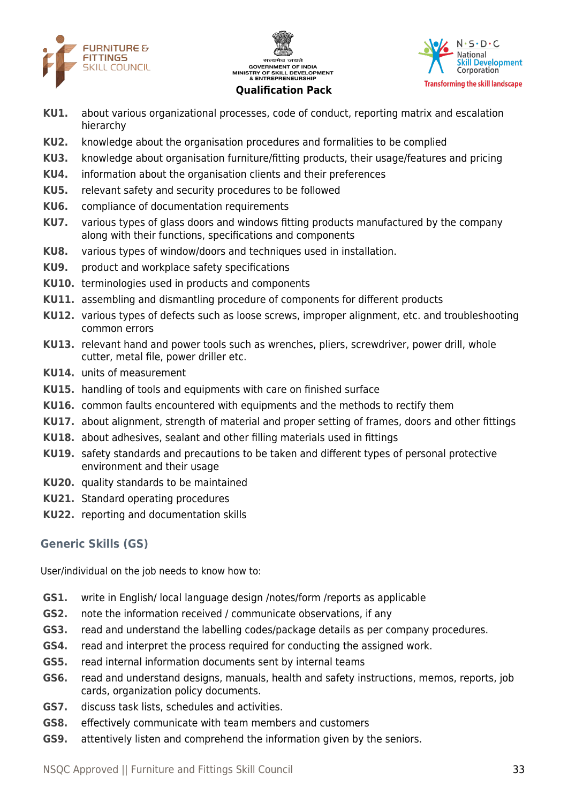





- **KU1.** about various organizational processes, code of conduct, reporting matrix and escalation hierarchy
- **KU2.** knowledge about the organisation procedures and formalities to be complied
- **KU3.** knowledge about organisation furniture/fitting products, their usage/features and pricing
- **KU4.** information about the organisation clients and their preferences
- **KU5.** relevant safety and security procedures to be followed
- **KU6.** compliance of documentation requirements
- **KU7.** various types of glass doors and windows fitting products manufactured by the company along with their functions, specifications and components
- **KU8.** various types of window/doors and techniques used in installation.
- **KU9.** product and workplace safety specifications
- **KU10.** terminologies used in products and components
- **KU11.** assembling and dismantling procedure of components for different products
- **KU12.** various types of defects such as loose screws, improper alignment, etc. and troubleshooting common errors
- **KU13.** relevant hand and power tools such as wrenches, pliers, screwdriver, power drill, whole cutter, metal file, power driller etc.
- **KU14.** units of measurement
- **KU15.** handling of tools and equipments with care on finished surface
- **KU16.** common faults encountered with equipments and the methods to rectify them
- **KU17.** about alignment, strength of material and proper setting of frames, doors and other fittings
- **KU18.** about adhesives, sealant and other filling materials used in fittings
- **KU19.** safety standards and precautions to be taken and different types of personal protective environment and their usage
- **KU20.** quality standards to be maintained
- **KU21.** Standard operating procedures
- **KU22.** reporting and documentation skills

# **Generic Skills (GS)**

User/individual on the job needs to know how to:

- **GS1.** write in English/ local language design /notes/form /reports as applicable
- **GS2.** note the information received / communicate observations, if any
- **GS3.** read and understand the labelling codes/package details as per company procedures.
- **GS4.** read and interpret the process required for conducting the assigned work.
- **GS5.** read internal information documents sent by internal teams
- **GS6.** read and understand designs, manuals, health and safety instructions, memos, reports, job cards, organization policy documents.
- **GS7.** discuss task lists, schedules and activities.
- **GS8.** effectively communicate with team members and customers
- **GS9.** attentively listen and comprehend the information given by the seniors.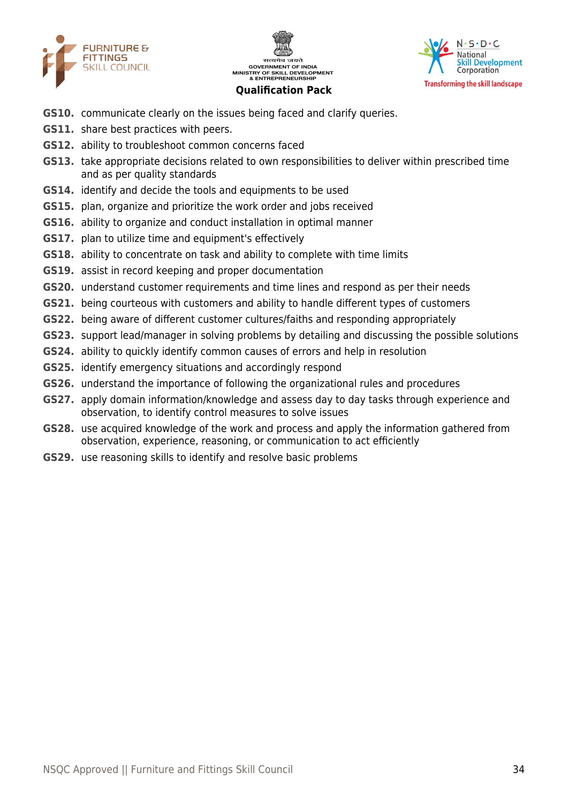





- **GS10.** communicate clearly on the issues being faced and clarify queries.
- **GS11.** share best practices with peers.
- **GS12.** ability to troubleshoot common concerns faced
- **GS13.** take appropriate decisions related to own responsibilities to deliver within prescribed time and as per quality standards
- **GS14.** identify and decide the tools and equipments to be used
- **GS15.** plan, organize and prioritize the work order and jobs received
- **GS16.** ability to organize and conduct installation in optimal manner
- **GS17.** plan to utilize time and equipment's effectively
- **GS18.** ability to concentrate on task and ability to complete with time limits
- **GS19.** assist in record keeping and proper documentation
- **GS20.** understand customer requirements and time lines and respond as per their needs
- **GS21.** being courteous with customers and ability to handle different types of customers
- **GS22.** being aware of different customer cultures/faiths and responding appropriately
- **GS23.** support lead/manager in solving problems by detailing and discussing the possible solutions
- **GS24.** ability to quickly identify common causes of errors and help in resolution
- **GS25.** identify emergency situations and accordingly respond
- **GS26.** understand the importance of following the organizational rules and procedures
- **GS27.** apply domain information/knowledge and assess day to day tasks through experience and observation, to identify control measures to solve issues
- **GS28.** use acquired knowledge of the work and process and apply the information gathered from observation, experience, reasoning, or communication to act efficiently
- **GS29.** use reasoning skills to identify and resolve basic problems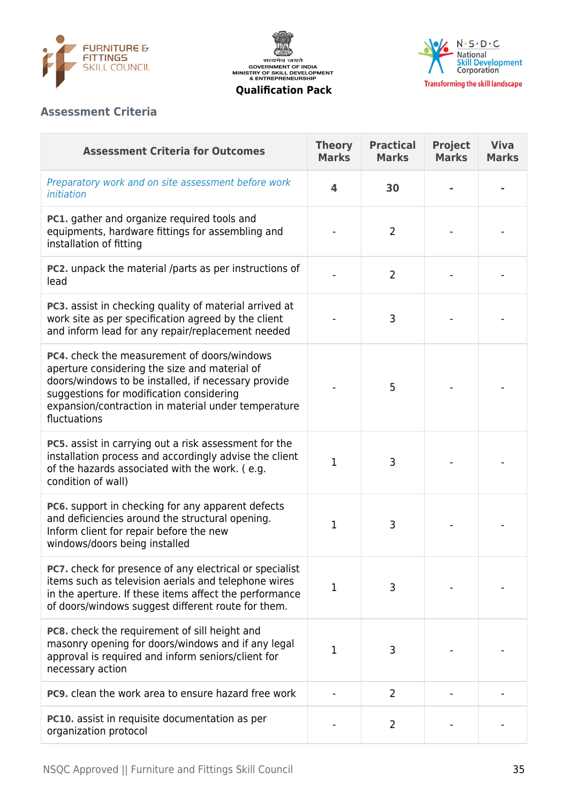





# **Assessment Criteria**

| <b>Assessment Criteria for Outcomes</b>                                                                                                                                                                                                                                | <b>Theory</b><br><b>Marks</b> | <b>Practical</b><br><b>Marks</b> | <b>Project</b><br><b>Marks</b> | <b>Viva</b><br><b>Marks</b> |
|------------------------------------------------------------------------------------------------------------------------------------------------------------------------------------------------------------------------------------------------------------------------|-------------------------------|----------------------------------|--------------------------------|-----------------------------|
| Preparatory work and on site assessment before work<br>initiation                                                                                                                                                                                                      | 4                             | 30                               |                                |                             |
| <b>PC1.</b> gather and organize required tools and<br>equipments, hardware fittings for assembling and<br>installation of fitting                                                                                                                                      |                               | $\overline{2}$                   |                                |                             |
| <b>PC2.</b> unpack the material /parts as per instructions of<br>lead                                                                                                                                                                                                  |                               | $\overline{2}$                   |                                |                             |
| PC3. assist in checking quality of material arrived at<br>work site as per specification agreed by the client<br>and inform lead for any repair/replacement needed                                                                                                     |                               | 3                                |                                |                             |
| PC4. check the measurement of doors/windows<br>aperture considering the size and material of<br>doors/windows to be installed, if necessary provide<br>suggestions for modification considering<br>expansion/contraction in material under temperature<br>fluctuations |                               | 5                                |                                |                             |
| PC5. assist in carrying out a risk assessment for the<br>installation process and accordingly advise the client<br>of the hazards associated with the work. (e.g.<br>condition of wall)                                                                                | 1                             | 3                                |                                |                             |
| PC6. support in checking for any apparent defects<br>and deficiencies around the structural opening.<br>Inform client for repair before the new<br>windows/doors being installed                                                                                       | 1                             | 3                                |                                |                             |
| <b>PC7.</b> check for presence of any electrical or specialist<br>items such as television aerials and telephone wires<br>in the aperture. If these items affect the performance<br>of doors/windows suggest different route for them.                                 | 1                             | 3                                |                                |                             |
| PC8. check the requirement of sill height and<br>masonry opening for doors/windows and if any legal<br>approval is required and inform seniors/client for<br>necessary action                                                                                          | 1                             | 3                                |                                |                             |
| <b>PC9.</b> clean the work area to ensure hazard free work                                                                                                                                                                                                             |                               | $\overline{2}$                   |                                |                             |
| <b>PC10.</b> assist in requisite documentation as per<br>organization protocol                                                                                                                                                                                         |                               | 2                                |                                |                             |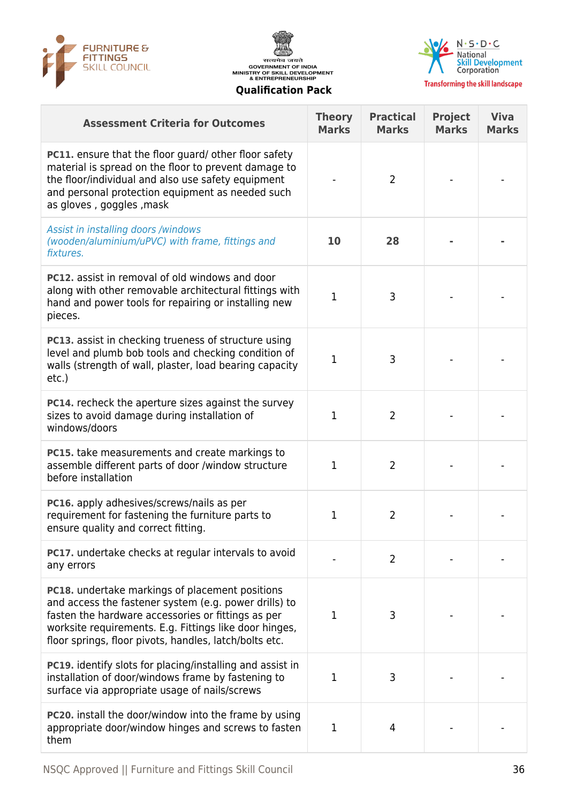





| <b>Assessment Criteria for Outcomes</b>                                                                                                                                                                                                                                                   | <b>Theory</b><br><b>Marks</b> | <b>Practical</b><br><b>Marks</b> | <b>Project</b><br><b>Marks</b> | <b>Viva</b><br><b>Marks</b> |
|-------------------------------------------------------------------------------------------------------------------------------------------------------------------------------------------------------------------------------------------------------------------------------------------|-------------------------------|----------------------------------|--------------------------------|-----------------------------|
| <b>PC11.</b> ensure that the floor guard/ other floor safety<br>material is spread on the floor to prevent damage to<br>the floor/individual and also use safety equipment<br>and personal protection equipment as needed such<br>as gloves, goggles, mask                                |                               | 2                                |                                |                             |
| Assist in installing doors /windows<br>(wooden/aluminium/uPVC) with frame, fittings and<br>fixtures.                                                                                                                                                                                      | 10                            | 28                               |                                |                             |
| <b>PC12.</b> assist in removal of old windows and door<br>along with other removable architectural fittings with<br>hand and power tools for repairing or installing new<br>pieces.                                                                                                       | $\mathbf{1}$                  | 3                                |                                |                             |
| <b>PC13.</b> assist in checking trueness of structure using<br>level and plumb bob tools and checking condition of<br>walls (strength of wall, plaster, load bearing capacity<br>$etc.$ )                                                                                                 | $\mathbf{1}$                  | 3                                |                                |                             |
| <b>PC14.</b> recheck the aperture sizes against the survey<br>sizes to avoid damage during installation of<br>windows/doors                                                                                                                                                               | $\mathbf{1}$                  | $\overline{2}$                   |                                |                             |
| PC15. take measurements and create markings to<br>assemble different parts of door /window structure<br>before installation                                                                                                                                                               | 1                             | 2                                |                                |                             |
| PC16. apply adhesives/screws/nails as per<br>requirement for fastening the furniture parts to<br>ensure quality and correct fitting.                                                                                                                                                      | 1                             | 2                                |                                |                             |
| PC17. undertake checks at regular intervals to avoid<br>any errors                                                                                                                                                                                                                        |                               | 2                                |                                |                             |
| <b>PC18.</b> undertake markings of placement positions<br>and access the fastener system (e.g. power drills) to<br>fasten the hardware accessories or fittings as per<br>worksite requirements. E.g. Fittings like door hinges,<br>floor springs, floor pivots, handles, latch/bolts etc. | 1                             | 3                                |                                |                             |
| <b>PC19.</b> identify slots for placing/installing and assist in<br>installation of door/windows frame by fastening to<br>surface via appropriate usage of nails/screws                                                                                                                   | 1                             | 3                                |                                |                             |
| PC20. install the door/window into the frame by using<br>appropriate door/window hinges and screws to fasten<br>them                                                                                                                                                                      | 1                             | 4                                |                                |                             |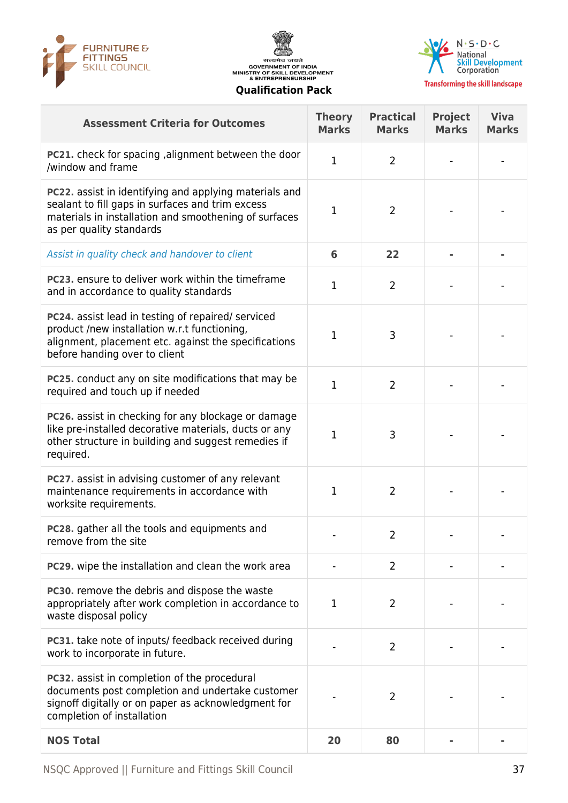





**Transforming the skill landscape** 

| <b>Assessment Criteria for Outcomes</b>                                                                                                                                                         | <b>Theory</b><br><b>Marks</b> | <b>Practical</b><br><b>Marks</b> | <b>Project</b><br><b>Marks</b> | <b>Viva</b><br><b>Marks</b> |
|-------------------------------------------------------------------------------------------------------------------------------------------------------------------------------------------------|-------------------------------|----------------------------------|--------------------------------|-----------------------------|
| <b>PC21.</b> check for spacing, alignment between the door<br>/window and frame                                                                                                                 | $\mathbf{1}$                  | 2                                |                                |                             |
| PC22. assist in identifying and applying materials and<br>sealant to fill gaps in surfaces and trim excess<br>materials in installation and smoothening of surfaces<br>as per quality standards | 1                             | $\overline{2}$                   |                                |                             |
| Assist in quality check and handover to client                                                                                                                                                  | 6                             | 22                               |                                |                             |
| PC23. ensure to deliver work within the timeframe<br>and in accordance to quality standards                                                                                                     | $\mathbf{1}$                  | 2                                |                                |                             |
| PC24. assist lead in testing of repaired/ serviced<br>product /new installation w.r.t functioning,<br>alignment, placement etc. against the specifications<br>before handing over to client     | 1                             | 3                                |                                |                             |
| PC25. conduct any on site modifications that may be<br>required and touch up if needed                                                                                                          | $\mathbf{1}$                  | $\overline{2}$                   |                                |                             |
| PC26. assist in checking for any blockage or damage<br>like pre-installed decorative materials, ducts or any<br>other structure in building and suggest remedies if<br>required.                | 1                             | 3                                |                                |                             |
| <b>PC27.</b> assist in advising customer of any relevant<br>maintenance requirements in accordance with<br>worksite requirements.                                                               | 1                             | 2                                |                                |                             |
| PC28. gather all the tools and equipments and<br>remove from the site                                                                                                                           |                               | 2                                |                                |                             |
| PC29. wipe the installation and clean the work area                                                                                                                                             |                               | 2                                |                                |                             |
| PC30. remove the debris and dispose the waste<br>appropriately after work completion in accordance to<br>waste disposal policy                                                                  | 1                             | 2                                |                                |                             |
| <b>PC31.</b> take note of inputs/ feedback received during<br>work to incorporate in future.                                                                                                    |                               | 2                                |                                |                             |
| <b>PC32.</b> assist in completion of the procedural<br>documents post completion and undertake customer<br>signoff digitally or on paper as acknowledgment for<br>completion of installation    |                               | 2                                |                                |                             |
| <b>NOS Total</b>                                                                                                                                                                                | 20                            | 80                               |                                |                             |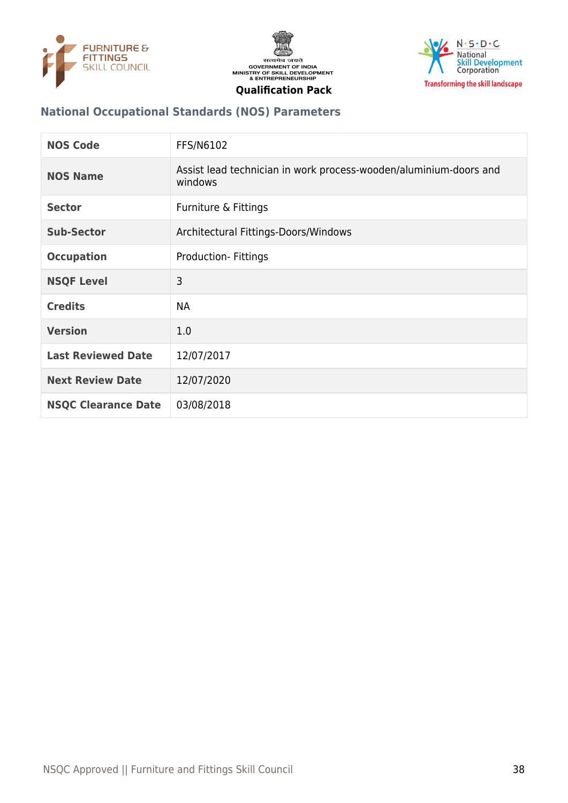





#### **National Occupational Standards (NOS) Parameters**

| <b>NOS Code</b>            | FFS/N6102                                                                    |
|----------------------------|------------------------------------------------------------------------------|
| <b>NOS Name</b>            | Assist lead technician in work process-wooden/aluminium-doors and<br>windows |
| <b>Sector</b>              | Furniture & Fittings                                                         |
| <b>Sub-Sector</b>          | Architectural Fittings-Doors/Windows                                         |
| <b>Occupation</b>          | <b>Production-Fittings</b>                                                   |
| <b>NSQF Level</b>          | 3                                                                            |
| <b>Credits</b>             | <b>NA</b>                                                                    |
| <b>Version</b>             | 1.0                                                                          |
| <b>Last Reviewed Date</b>  | 12/07/2017                                                                   |
| <b>Next Review Date</b>    | 12/07/2020                                                                   |
| <b>NSQC Clearance Date</b> | 03/08/2018                                                                   |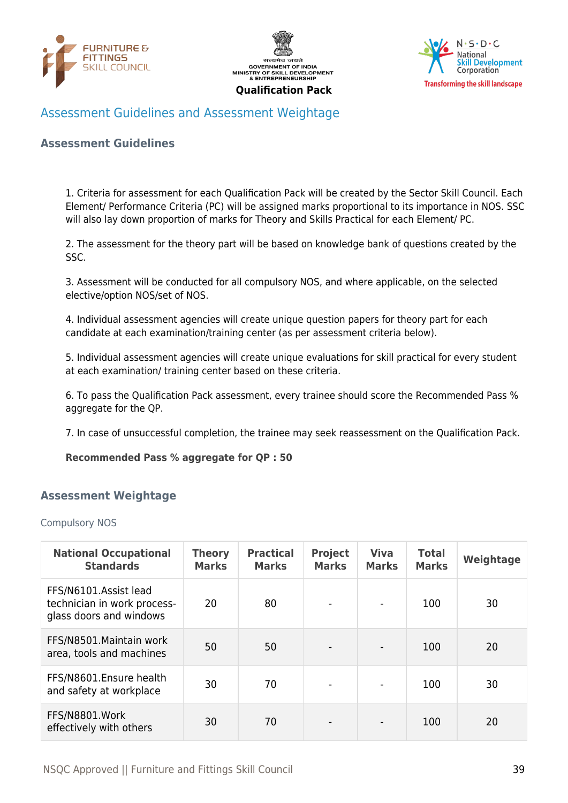





# <span id="page-38-0"></span>Assessment Guidelines and Assessment Weightage

#### **Assessment Guidelines**

1. Criteria for assessment for each Qualification Pack will be created by the Sector Skill Council. Each Element/ Performance Criteria (PC) will be assigned marks proportional to its importance in NOS. SSC will also lay down proportion of marks for Theory and Skills Practical for each Element/ PC.

2. The assessment for the theory part will be based on knowledge bank of questions created by the SSC.

3. Assessment will be conducted for all compulsory NOS, and where applicable, on the selected elective/option NOS/set of NOS.

4. Individual assessment agencies will create unique question papers for theory part for each candidate at each examination/training center (as per assessment criteria below).

5. Individual assessment agencies will create unique evaluations for skill practical for every student at each examination/ training center based on these criteria.

6. To pass the Qualification Pack assessment, every trainee should score the Recommended Pass % aggregate for the QP.

7. In case of unsuccessful completion, the trainee may seek reassessment on the Qualification Pack.

#### **Recommended Pass % aggregate for QP : 50**

#### <span id="page-38-1"></span>**Assessment Weightage**

Compulsory NOS

| <b>National Occupational</b><br><b>Standards</b>                                | <b>Theory</b><br><b>Marks</b> | <b>Practical</b><br><b>Marks</b> | <b>Project</b><br><b>Marks</b> | <b>Viva</b><br><b>Marks</b> | <b>Total</b><br><b>Marks</b> | Weightage |
|---------------------------------------------------------------------------------|-------------------------------|----------------------------------|--------------------------------|-----------------------------|------------------------------|-----------|
| FFS/N6101.Assist lead<br>technician in work process-<br>glass doors and windows | 20                            | 80                               | $\blacksquare$                 |                             | 100                          | 30        |
| FFS/N8501. Maintain work<br>area, tools and machines                            | 50                            | 50                               | $\overline{\phantom{a}}$       | $\blacksquare$              | 100                          | 20        |
| FFS/N8601.Ensure health<br>and safety at workplace                              | 30                            | 70                               | $\blacksquare$                 | $\blacksquare$              | 100                          | 30        |
| FFS/N8801.Work<br>effectively with others                                       | 30                            | 70                               | $\blacksquare$                 |                             | 100                          | 20        |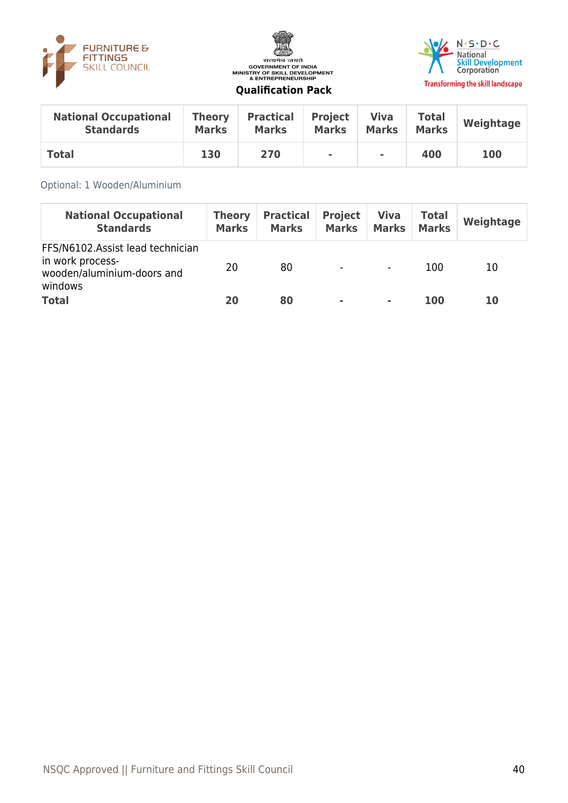





| <b>National Occupational</b> | <b>Theory</b> | <b>Practical</b> | <b>Project</b> | <b>Viva</b>    | <b>Total</b> | Weightage |
|------------------------------|---------------|------------------|----------------|----------------|--------------|-----------|
| <b>Standards</b>             | <b>Marks</b>  | <b>Marks</b>     | <b>Marks</b>   | <b>Marks</b>   | <b>Marks</b> |           |
| <b>Total</b>                 | 130           | 270              | $\mathbf{r}$   | $\blacksquare$ | 400          | 100       |

#### Optional: 1 Wooden/Aluminium

| <b>National Occupational</b><br><b>Standards</b>                                              | <b>Theory</b><br><b>Marks</b> | <b>Practical</b><br><b>Marks</b> | <b>Project</b><br><b>Marks</b> | <b>Viva</b><br><b>Marks</b> | <b>Total</b><br><b>Marks</b> | Weightage |
|-----------------------------------------------------------------------------------------------|-------------------------------|----------------------------------|--------------------------------|-----------------------------|------------------------------|-----------|
| FFS/N6102.Assist lead technician<br>in work process-<br>wooden/aluminium-doors and<br>windows | 20                            | 80                               | $\overline{\phantom{a}}$       | $\overline{\phantom{a}}$    | 100                          | 10        |
| <b>Total</b>                                                                                  | 20                            | 80                               | $\sim$                         | ۰                           | 100                          | 10        |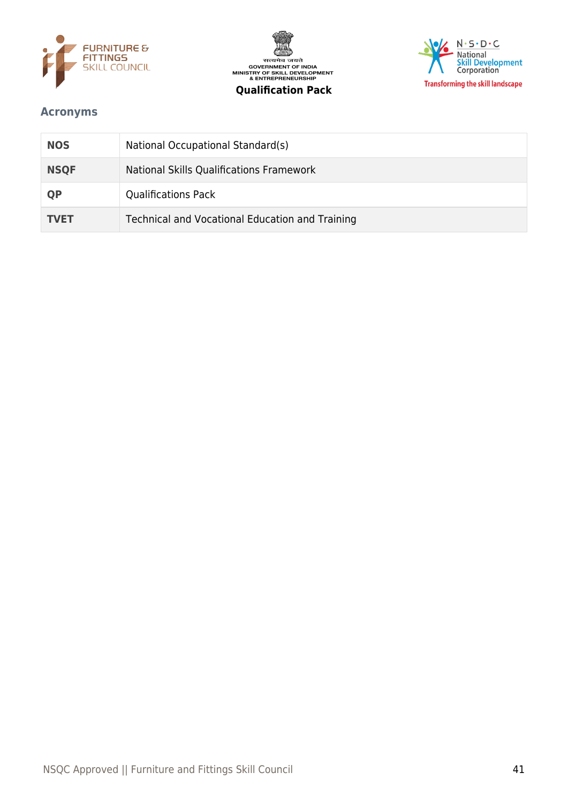





# <span id="page-40-0"></span>**Acronyms**

| <b>NOS</b>  | National Occupational Standard(s)               |
|-------------|-------------------------------------------------|
| <b>NSQF</b> | National Skills Qualifications Framework        |
| <b>QP</b>   | <b>Qualifications Pack</b>                      |
| <b>TVET</b> | Technical and Vocational Education and Training |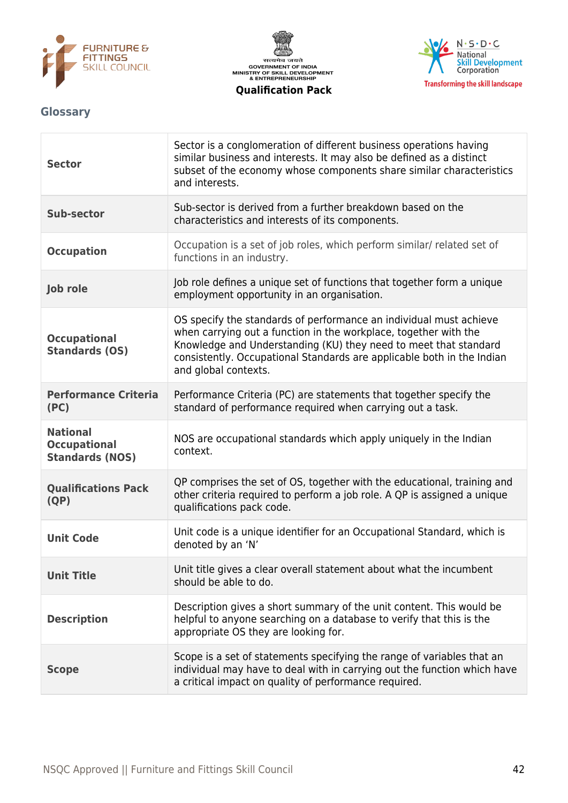





# <span id="page-41-0"></span>**Glossary**

| <b>Sector</b>                                                    | Sector is a conglomeration of different business operations having<br>similar business and interests. It may also be defined as a distinct<br>subset of the economy whose components share similar characteristics<br>and interests.                                                                         |
|------------------------------------------------------------------|--------------------------------------------------------------------------------------------------------------------------------------------------------------------------------------------------------------------------------------------------------------------------------------------------------------|
| <b>Sub-sector</b>                                                | Sub-sector is derived from a further breakdown based on the<br>characteristics and interests of its components.                                                                                                                                                                                              |
| <b>Occupation</b>                                                | Occupation is a set of job roles, which perform similar/ related set of<br>functions in an industry.                                                                                                                                                                                                         |
| Job role                                                         | Job role defines a unique set of functions that together form a unique<br>employment opportunity in an organisation.                                                                                                                                                                                         |
| <b>Occupational</b><br><b>Standards (OS)</b>                     | OS specify the standards of performance an individual must achieve<br>when carrying out a function in the workplace, together with the<br>Knowledge and Understanding (KU) they need to meet that standard<br>consistently. Occupational Standards are applicable both in the Indian<br>and global contexts. |
| <b>Performance Criteria</b><br>(PC)                              | Performance Criteria (PC) are statements that together specify the<br>standard of performance required when carrying out a task.                                                                                                                                                                             |
| <b>National</b><br><b>Occupational</b><br><b>Standards (NOS)</b> | NOS are occupational standards which apply uniquely in the Indian<br>context.                                                                                                                                                                                                                                |
| <b>Qualifications Pack</b><br>(QP)                               | QP comprises the set of OS, together with the educational, training and<br>other criteria required to perform a job role. A QP is assigned a unique<br>qualifications pack code.                                                                                                                             |
| <b>Unit Code</b>                                                 | Unit code is a unique identifier for an Occupational Standard, which is<br>denoted by an 'N'                                                                                                                                                                                                                 |
| <b>Unit Title</b>                                                | Unit title gives a clear overall statement about what the incumbent<br>should be able to do.                                                                                                                                                                                                                 |
| <b>Description</b>                                               | Description gives a short summary of the unit content. This would be<br>helpful to anyone searching on a database to verify that this is the<br>appropriate OS they are looking for.                                                                                                                         |
| <b>Scope</b>                                                     | Scope is a set of statements specifying the range of variables that an<br>individual may have to deal with in carrying out the function which have<br>a critical impact on quality of performance required.                                                                                                  |